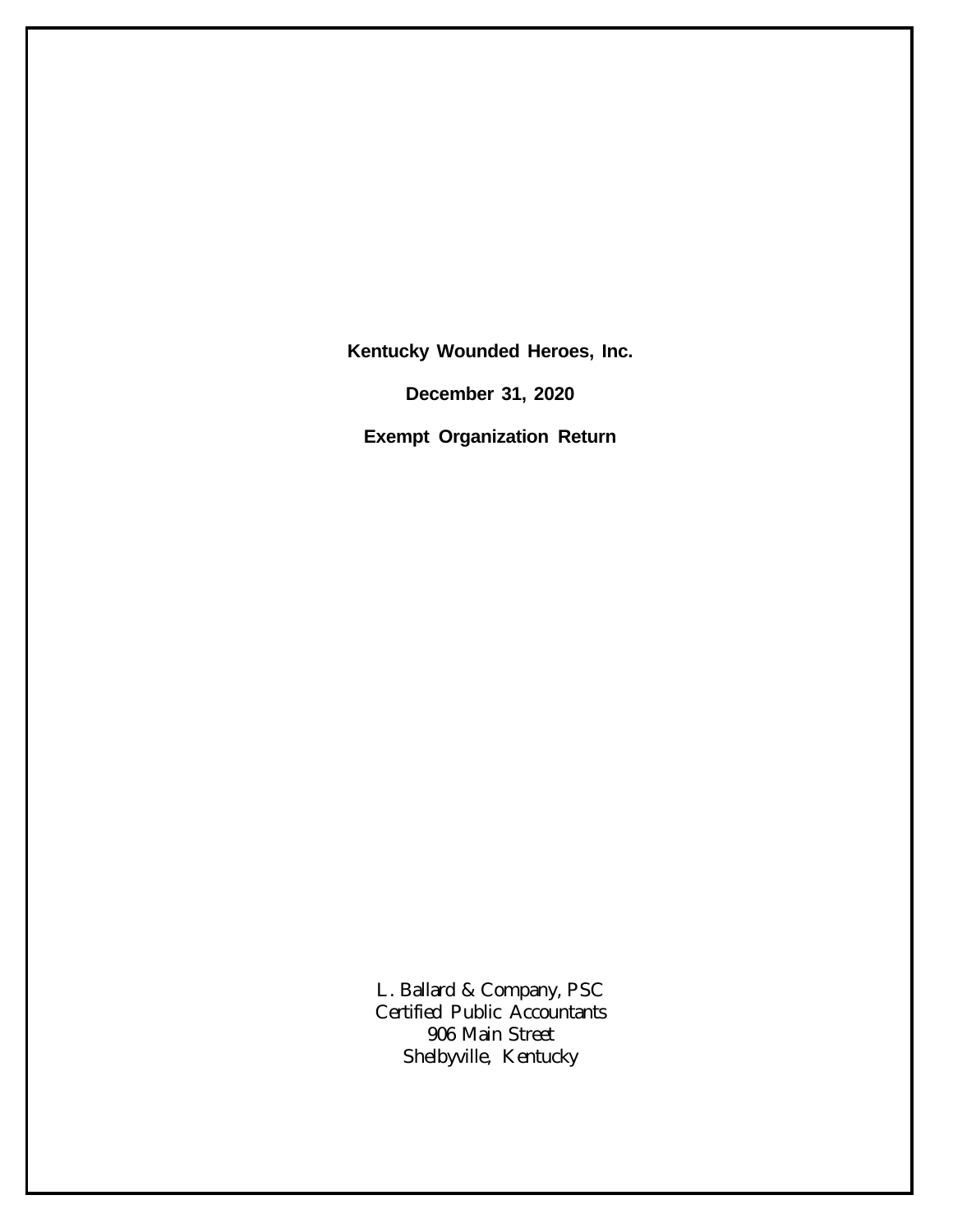**Kentucky Wounded Heroes, Inc.** 

**December 31, 2020** 

**Exempt Organization Return**

L. Ballard & Company, PSC Certified Public Accountants 906 Main Street Shelbyville, Kentucky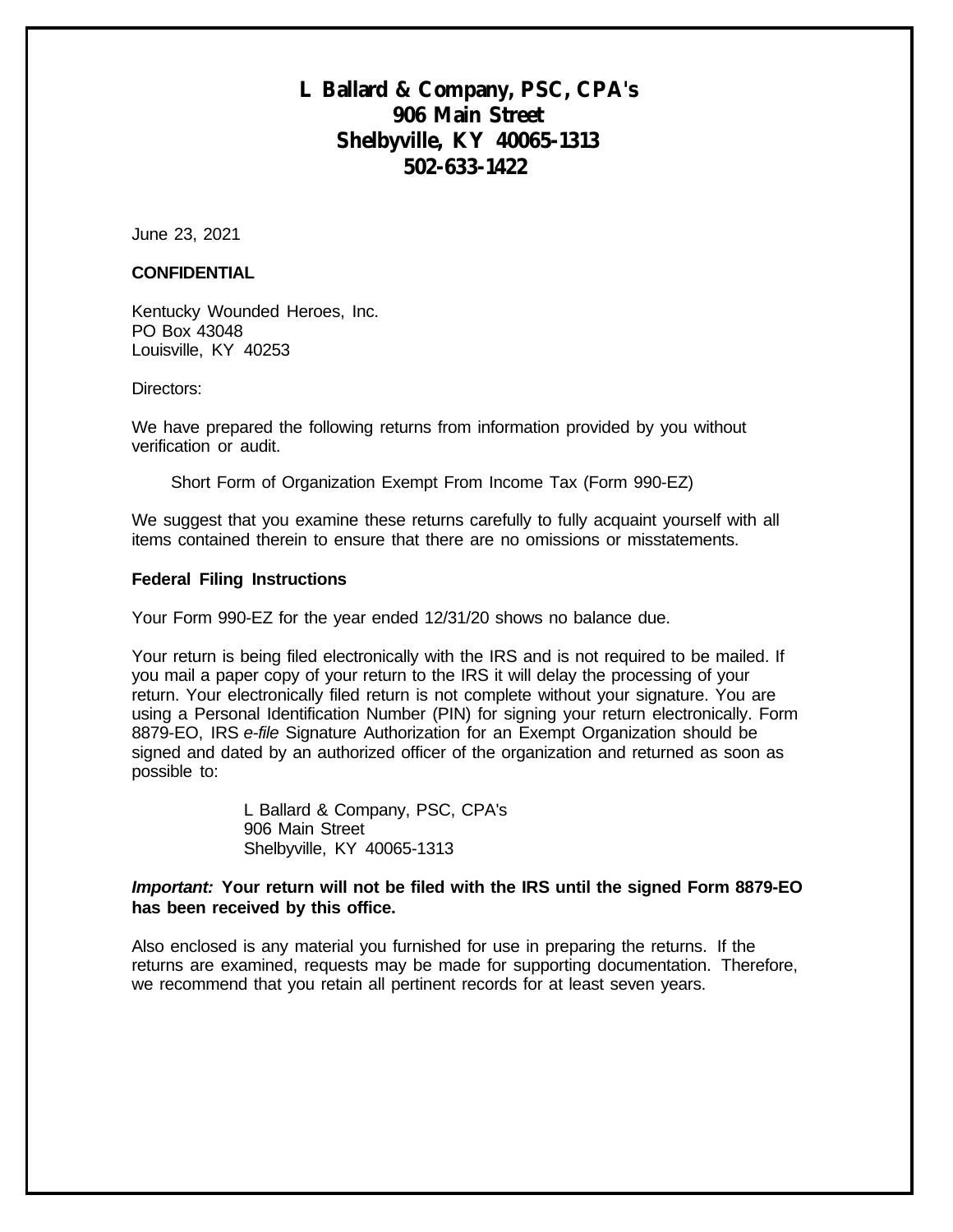**L Ballard & Company, PSC, CPA's 906 Main Street Shelbyville, KY 40065-1313 502-633-1422**

June 23, 2021

### **CONFIDENTIAL**

Kentucky Wounded Heroes, Inc. PO Box 43048 Louisville, KY 40253

Directors:

We have prepared the following returns from information provided by you without verification or audit.

Short Form of Organization Exempt From Income Tax (Form 990-EZ)

We suggest that you examine these returns carefully to fully acquaint yourself with all items contained therein to ensure that there are no omissions or misstatements.

#### **Federal Filing Instructions**

Your Form 990-EZ for the year ended 12/31/20 shows no balance due.

Your return is being filed electronically with the IRS and is not required to be mailed. If you mail a paper copy of your return to the IRS it will delay the processing of your return. Your electronically filed return is not complete without your signature. You are using a Personal Identification Number (PIN) for signing your return electronically. Form 8879-EO, IRS *e-file* Signature Authorization for an Exempt Organization should be signed and dated by an authorized officer of the organization and returned as soon as possible to:

> L Ballard & Company, PSC, CPA's 906 Main Street Shelbyville, KY 40065-1313

*Important:* **Your return will not be filed with the IRS until the signed Form 8879-EO has been received by this office.**

Also enclosed is any material you furnished for use in preparing the returns. If the returns are examined, requests may be made for supporting documentation. Therefore, we recommend that you retain all pertinent records for at least seven years.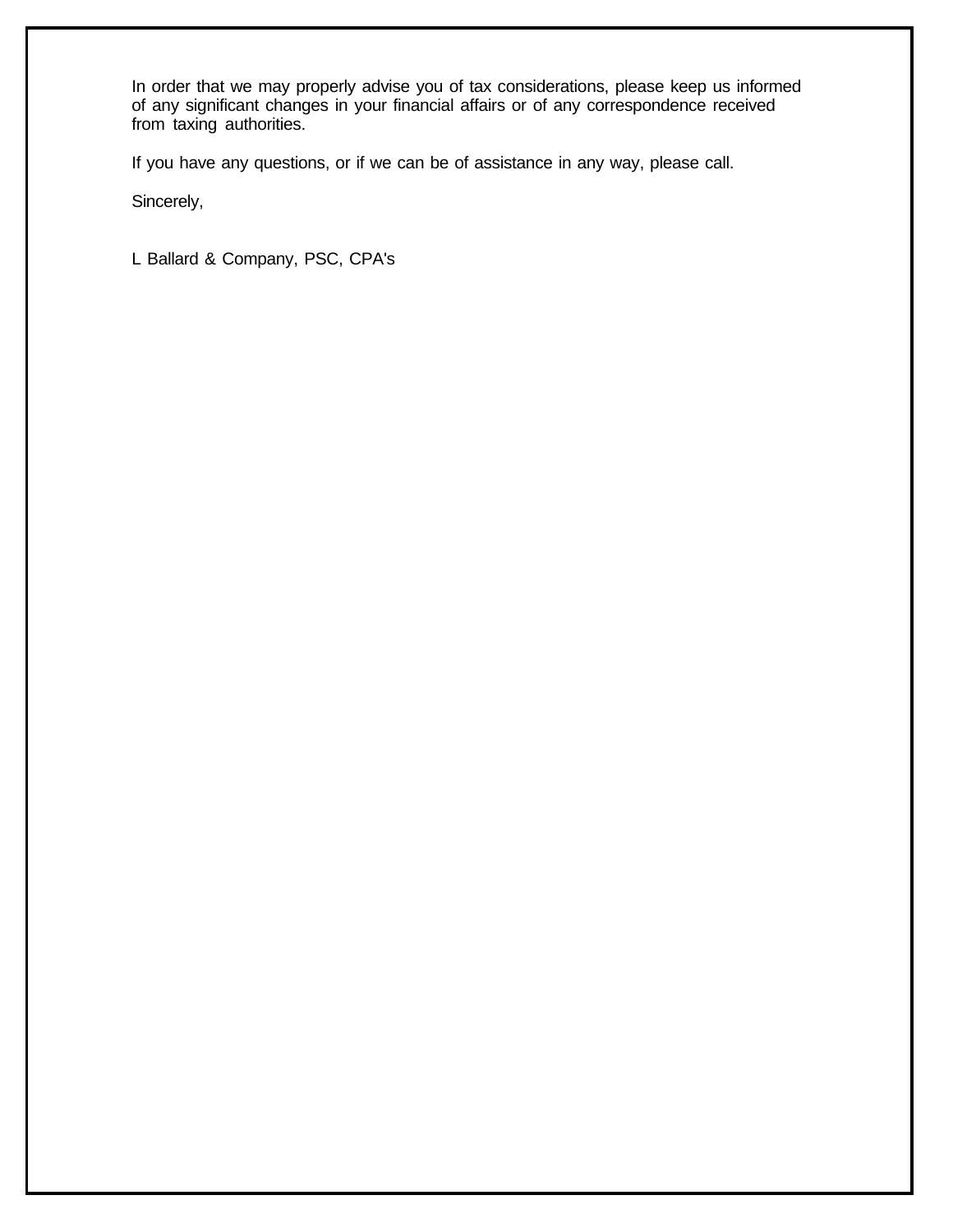In order that we may properly advise you of tax considerations, please keep us informed of any significant changes in your financial affairs or of any correspondence received from taxing authorities.

If you have any questions, or if we can be of assistance in any way, please call.

Sincerely,

L Ballard & Company, PSC, CPA's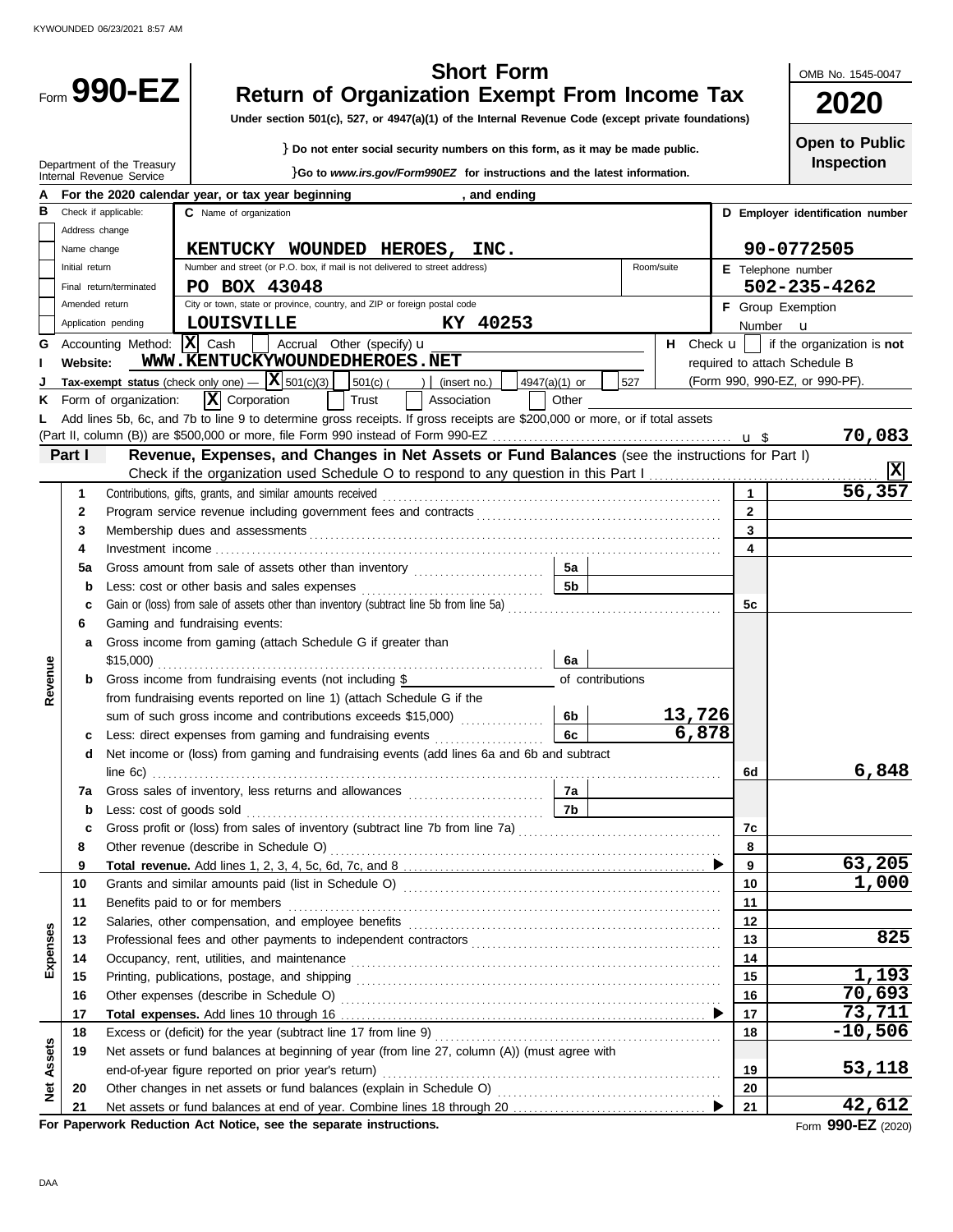|          |                |                                                        | <b>Short Form</b>                                                                                                                                                    |                                | OMB No. 1545-0047                             |  |  |
|----------|----------------|--------------------------------------------------------|----------------------------------------------------------------------------------------------------------------------------------------------------------------------|--------------------------------|-----------------------------------------------|--|--|
|          |                | Form 990-EZ                                            | <b>Return of Organization Exempt From Income Tax</b>                                                                                                                 |                                | 2020                                          |  |  |
|          |                |                                                        | Under section 501(c), 527, or 4947(a)(1) of the Internal Revenue Code (except private foundations)                                                                   |                                |                                               |  |  |
|          |                |                                                        | } Do not enter social security numbers on this form, as it may be made public.                                                                                       |                                | Open to Public                                |  |  |
|          |                | Department of the Treasury<br>Internal Revenue Service | <b>}Go to</b> www.irs.gov/Form990EZ for instructions and the latest information.                                                                                     |                                | Inspection                                    |  |  |
|          |                |                                                        | For the 2020 calendar year, or tax year beginning<br>, and ending                                                                                                    |                                |                                               |  |  |
| в        |                | Check if applicable:                                   | C Name of organization                                                                                                                                               |                                | D Employer identification number              |  |  |
|          | Address change |                                                        |                                                                                                                                                                      |                                |                                               |  |  |
|          | Name change    |                                                        | KENTUCKY WOUNDED HEROES,<br>INC.                                                                                                                                     | 90-0772505                     |                                               |  |  |
|          | Initial return |                                                        | Number and street (or P.O. box, if mail is not delivered to street address)<br>Room/suite                                                                            |                                | <b>E</b> Telephone number                     |  |  |
|          |                | Final return/terminated                                | PO BOX 43048<br>City or town, state or province, country, and ZIP or foreign postal code                                                                             |                                | 502-235-4262                                  |  |  |
|          | Amended return | Application pending                                    | LOUISVILLE<br>KY 40253                                                                                                                                               |                                | <b>F</b> Group Exemption                      |  |  |
| G        |                | Accounting Method:                                     | $ \mathbf{X} $ Cash  <br>Accrual Other (specify) <b>u</b><br>H.                                                                                                      | Check $\mathbf{u}$             | Number <b>u</b><br>if the organization is not |  |  |
|          | Website:       |                                                        | WWW.KENTUCKYWOUNDEDHEROES.NET                                                                                                                                        |                                | required to attach Schedule B                 |  |  |
|          |                |                                                        | Tax-exempt status (check only one) $-\left \mathbf{X}\right $ 501(c)(3)<br>501(c)(<br>527<br>(insert no.)<br>4947(a)(1) or                                           |                                | (Form 990, 990-EZ, or 990-PF).                |  |  |
| Κ        |                | Form of organization:                                  | $ \mathbf{X} $ Corporation<br>Trust<br>Association<br>Other                                                                                                          |                                |                                               |  |  |
|          |                |                                                        | Add lines 5b, 6c, and 7b to line 9 to determine gross receipts. If gross receipts are \$200,000 or more, or if total assets                                          |                                |                                               |  |  |
|          |                |                                                        |                                                                                                                                                                      |                                | 70,083                                        |  |  |
|          | Part I         |                                                        | Revenue, Expenses, and Changes in Net Assets or Fund Balances (see the instructions for Part I)                                                                      |                                |                                               |  |  |
|          |                |                                                        |                                                                                                                                                                      |                                |                                               |  |  |
|          | 1              |                                                        | Contributions, gifts, grants, and similar amounts received                                                                                                           | 1                              | 56,357                                        |  |  |
|          | 2              |                                                        |                                                                                                                                                                      | $\overline{2}$<br>$\mathbf{3}$ |                                               |  |  |
|          | 3<br>4         |                                                        |                                                                                                                                                                      | 4                              |                                               |  |  |
|          | 5a             |                                                        | 5а                                                                                                                                                                   |                                |                                               |  |  |
|          | b              |                                                        | 5 <sub>b</sub><br>Less: cost or other basis and sales expenses                                                                                                       |                                |                                               |  |  |
|          | c              |                                                        |                                                                                                                                                                      | 5c                             |                                               |  |  |
|          | 6              |                                                        | Gaming and fundraising events:                                                                                                                                       |                                |                                               |  |  |
|          | a              |                                                        | Gross income from gaming (attach Schedule G if greater than                                                                                                          |                                |                                               |  |  |
|          |                | \$15,000                                               | 6a                                                                                                                                                                   |                                |                                               |  |  |
| Revenue  | b              |                                                        | Gross income from fundraising events (not including \$<br>of contributions                                                                                           |                                |                                               |  |  |
|          |                |                                                        | from fundraising events reported on line 1) (attach Schedule G if the                                                                                                |                                |                                               |  |  |
|          |                |                                                        | 13,726<br>6b<br>sum of such gross income and contributions exceeds \$15,000)                                                                                         |                                |                                               |  |  |
|          | c              |                                                        | 6,878<br>6c<br>Less: direct expenses from gaming and fundraising events<br>Net income or (loss) from gaming and fundraising events (add lines 6a and 6b and subtract |                                |                                               |  |  |
|          | d              | line 6c)                                               |                                                                                                                                                                      | 6d                             | 6,848                                         |  |  |
|          | 7a             |                                                        | 7а                                                                                                                                                                   |                                |                                               |  |  |
|          | b              | Less: cost of goods sold                               | 7b                                                                                                                                                                   |                                |                                               |  |  |
|          | c              |                                                        |                                                                                                                                                                      | 7c                             |                                               |  |  |
|          | 8              |                                                        | Other revenue (describe in Schedule O)                                                                                                                               | 8                              |                                               |  |  |
|          | 9              |                                                        |                                                                                                                                                                      | 9                              | 63,205                                        |  |  |
|          | 10             |                                                        |                                                                                                                                                                      | 10                             | 1,000                                         |  |  |
|          | 11             |                                                        | Benefits paid to or for members                                                                                                                                      | 11                             |                                               |  |  |
|          | 12             |                                                        | Salaries, other compensation, and employee benefits                                                                                                                  | 12                             |                                               |  |  |
| Expenses | 13<br>14       |                                                        |                                                                                                                                                                      | 13<br>14                       | 825                                           |  |  |
|          | 15             |                                                        |                                                                                                                                                                      | 15                             | 1,193                                         |  |  |
|          | 16             |                                                        | Other expenses (describe in Schedule O)                                                                                                                              | 16                             | 70,693                                        |  |  |
|          | 17             |                                                        |                                                                                                                                                                      | 17                             | 73,711                                        |  |  |
|          | 18             |                                                        | Excess or (deficit) for the year (subtract line 17 from line 9)                                                                                                      | 18                             | $-10,506$                                     |  |  |
| Assets   | 19             |                                                        | Net assets or fund balances at beginning of year (from line 27, column (A)) (must agree with                                                                         |                                |                                               |  |  |
|          |                |                                                        | end-of-year figure reported on prior year's return)                                                                                                                  | 19                             | 53,118                                        |  |  |
| ğ        | 20             |                                                        |                                                                                                                                                                      | 20                             |                                               |  |  |
|          | 21             |                                                        |                                                                                                                                                                      | 21                             | 42,612                                        |  |  |
|          |                |                                                        | For Paperwork Reduction Act Notice, see the separate instructions.                                                                                                   |                                | Form 990-EZ (2020)                            |  |  |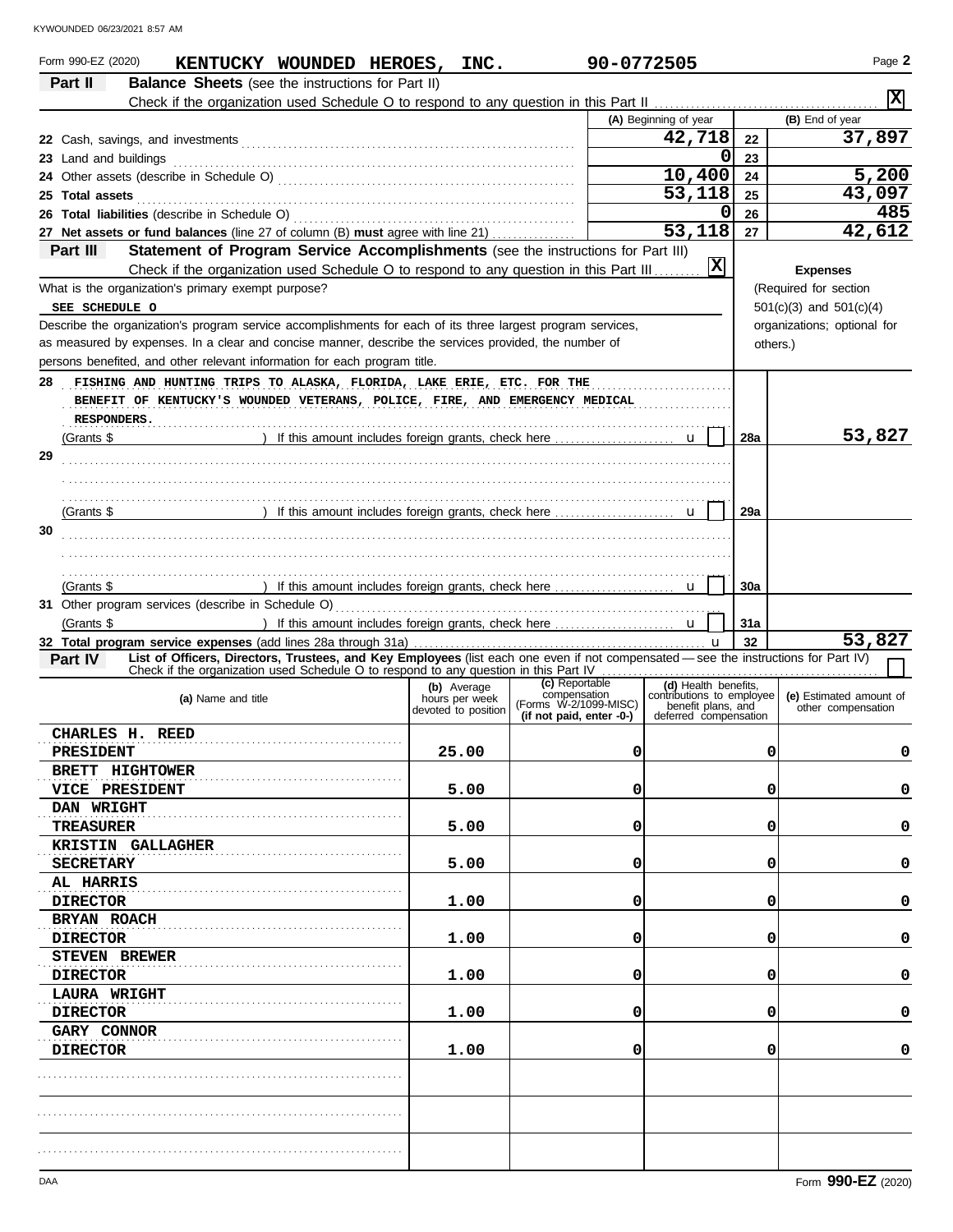| Form 990-EZ (2020)<br>KENTUCKY WOUNDED HEROES, INC.                                                                                                                                                                  |                                       | 90-0772505                     |                                                   |            | Page 2                                        |
|----------------------------------------------------------------------------------------------------------------------------------------------------------------------------------------------------------------------|---------------------------------------|--------------------------------|---------------------------------------------------|------------|-----------------------------------------------|
| Part II<br><b>Balance Sheets</b> (see the instructions for Part II)                                                                                                                                                  |                                       |                                |                                                   |            |                                               |
|                                                                                                                                                                                                                      |                                       |                                |                                                   |            | $ \mathbf{x} $                                |
|                                                                                                                                                                                                                      |                                       |                                | (A) Beginning of year                             |            | (B) End of year                               |
|                                                                                                                                                                                                                      |                                       |                                | 42,718                                            | 22         | 37,897                                        |
| 23 Land and buildings                                                                                                                                                                                                |                                       |                                | 0                                                 | 23         |                                               |
|                                                                                                                                                                                                                      |                                       |                                | 10,400                                            | 24         | 5,200                                         |
| 25 Total assets                                                                                                                                                                                                      |                                       |                                | 53,118                                            | 25         | 43,097                                        |
|                                                                                                                                                                                                                      |                                       |                                | 0                                                 | 26         | 485                                           |
| 27 Net assets or fund balances (line 27 of column (B) must agree with line 21)                                                                                                                                       |                                       |                                | 53,118                                            | 27         | 42,612                                        |
| Statement of Program Service Accomplishments (see the instructions for Part III)<br>Part III                                                                                                                         |                                       |                                |                                                   |            |                                               |
| Check if the organization used Schedule O to respond to any question in this Part III                                                                                                                                |                                       |                                | $ \mathbf{x} $                                    |            | <b>Expenses</b>                               |
| What is the organization's primary exempt purpose?                                                                                                                                                                   |                                       |                                |                                                   |            | (Required for section                         |
|                                                                                                                                                                                                                      |                                       |                                |                                                   |            |                                               |
| SEE SCHEDULE O                                                                                                                                                                                                       |                                       |                                |                                                   |            | $501(c)(3)$ and $501(c)(4)$                   |
| Describe the organization's program service accomplishments for each of its three largest program services,<br>as measured by expenses. In a clear and concise manner, describe the services provided, the number of |                                       |                                |                                                   |            | organizations; optional for                   |
|                                                                                                                                                                                                                      |                                       |                                |                                                   | others.)   |                                               |
| persons benefited, and other relevant information for each program title.                                                                                                                                            |                                       |                                |                                                   |            |                                               |
| 28 FISHING AND HUNTING TRIPS TO ALASKA, FLORIDA, LAKE ERIE, ETC. FOR THE                                                                                                                                             |                                       |                                |                                                   |            |                                               |
| BENEFIT OF KENTUCKY'S WOUNDED VETERANS, POLICE, FIRE, AND EMERGENCY MEDICAL                                                                                                                                          |                                       |                                |                                                   |            |                                               |
| RESPONDERS.                                                                                                                                                                                                          |                                       |                                |                                                   |            |                                               |
| (Grants \$                                                                                                                                                                                                           |                                       |                                |                                                   | <b>28a</b> | 53,827                                        |
| 29                                                                                                                                                                                                                   |                                       |                                |                                                   |            |                                               |
|                                                                                                                                                                                                                      |                                       |                                |                                                   |            |                                               |
|                                                                                                                                                                                                                      |                                       |                                |                                                   |            |                                               |
| (Grants \$                                                                                                                                                                                                           |                                       |                                |                                                   | 29a        |                                               |
| 30                                                                                                                                                                                                                   |                                       |                                |                                                   |            |                                               |
|                                                                                                                                                                                                                      |                                       |                                |                                                   |            |                                               |
|                                                                                                                                                                                                                      |                                       |                                |                                                   |            |                                               |
| (Grants \$                                                                                                                                                                                                           |                                       |                                |                                                   | 30a        |                                               |
|                                                                                                                                                                                                                      |                                       |                                |                                                   |            |                                               |
| (Grants \$                                                                                                                                                                                                           |                                       |                                |                                                   | 31a        |                                               |
|                                                                                                                                                                                                                      |                                       |                                | $\mathbf{u}$                                      | 32         | 53,827                                        |
| List of Officers, Directors, Trustees, and Key Employees (list each one even if not compensated - see the instructions for Part IV)<br>Part IV                                                                       |                                       |                                |                                                   |            |                                               |
|                                                                                                                                                                                                                      |                                       |                                |                                                   |            |                                               |
|                                                                                                                                                                                                                      | (b) Average                           | (c) Reportable<br>compensation | (d) Health benefits,<br>contributions to employee |            |                                               |
| (a) Name and title                                                                                                                                                                                                   | hours per week<br>devoted to position | (Forms W-2/1099-MISC)          | benefit plans, and                                |            | (e) Estimated amount of<br>other compensation |
|                                                                                                                                                                                                                      |                                       | (if not paid, enter -0-)       | deferred compensation                             |            |                                               |
| CHARLES H. REED                                                                                                                                                                                                      |                                       |                                |                                                   |            |                                               |
| PRESIDENT                                                                                                                                                                                                            | 25.00                                 | 0                              |                                                   | 0          | 0                                             |
| BRETT HIGHTOWER                                                                                                                                                                                                      |                                       |                                |                                                   |            |                                               |
| VICE PRESIDENT                                                                                                                                                                                                       | 5.00                                  | 0                              |                                                   | 0          | 0                                             |
| DAN WRIGHT                                                                                                                                                                                                           |                                       |                                |                                                   |            |                                               |
| <b>TREASURER</b>                                                                                                                                                                                                     | 5.00                                  | 0                              |                                                   | 0          | 0                                             |
| <b>KRISTIN GALLAGHER</b>                                                                                                                                                                                             |                                       |                                |                                                   |            |                                               |
| <b>SECRETARY</b>                                                                                                                                                                                                     | 5.00                                  | 0                              |                                                   | 0          | 0                                             |
| AL HARRIS                                                                                                                                                                                                            |                                       |                                |                                                   |            |                                               |
| <b>DIRECTOR</b>                                                                                                                                                                                                      | 1.00                                  | 0                              |                                                   | 0          | 0                                             |
| BRYAN ROACH                                                                                                                                                                                                          |                                       |                                |                                                   |            |                                               |
| <b>DIRECTOR</b>                                                                                                                                                                                                      | 1.00                                  | 0                              |                                                   | 0          | 0                                             |
|                                                                                                                                                                                                                      |                                       |                                |                                                   |            |                                               |
| STEVEN BREWER                                                                                                                                                                                                        |                                       |                                |                                                   |            |                                               |
| <b>DIRECTOR</b>                                                                                                                                                                                                      | 1.00                                  | 0                              |                                                   | 0          | 0                                             |
| LAURA WRIGHT                                                                                                                                                                                                         |                                       |                                |                                                   |            |                                               |
| <b>DIRECTOR</b>                                                                                                                                                                                                      | 1.00                                  | 0                              |                                                   | 0          | 0                                             |
| <b>GARY CONNOR</b>                                                                                                                                                                                                   |                                       |                                |                                                   |            |                                               |
| <b>DIRECTOR</b>                                                                                                                                                                                                      | 1.00                                  | 0                              |                                                   | 0          | 0                                             |
|                                                                                                                                                                                                                      |                                       |                                |                                                   |            |                                               |
|                                                                                                                                                                                                                      |                                       |                                |                                                   |            |                                               |
|                                                                                                                                                                                                                      |                                       |                                |                                                   |            |                                               |
|                                                                                                                                                                                                                      |                                       |                                |                                                   |            |                                               |
|                                                                                                                                                                                                                      |                                       |                                |                                                   |            |                                               |
|                                                                                                                                                                                                                      |                                       |                                |                                                   |            |                                               |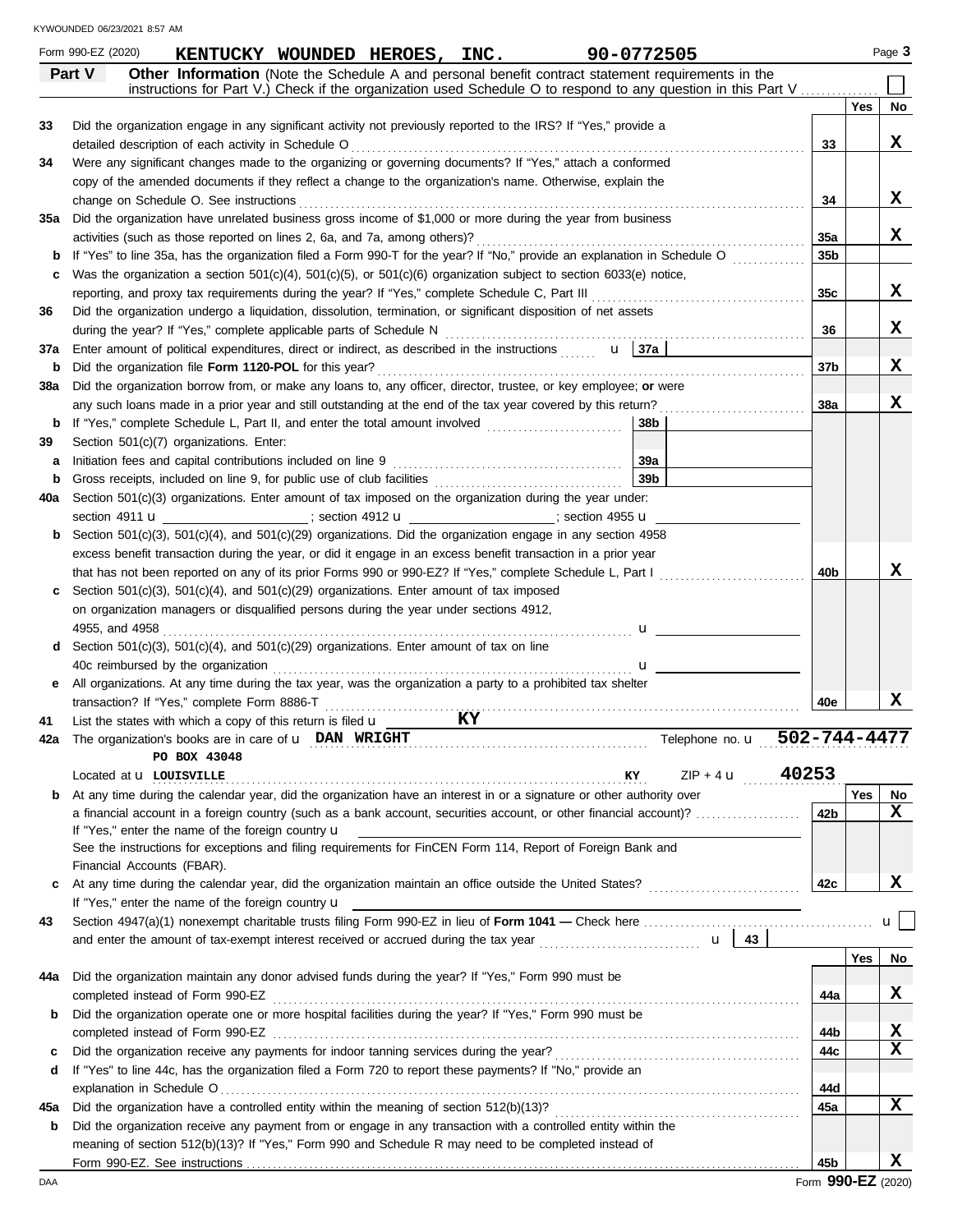|     | Form 990-EZ (2020) |                                                                                                                             | KENTUCKY WOUNDED HEROES, INC. |     |    | 90-0772505                                                                                                                                                                                                          |                 |            | Page 3      |
|-----|--------------------|-----------------------------------------------------------------------------------------------------------------------------|-------------------------------|-----|----|---------------------------------------------------------------------------------------------------------------------------------------------------------------------------------------------------------------------|-----------------|------------|-------------|
|     | Part V             |                                                                                                                             |                               |     |    | Other Information (Note the Schedule A and personal benefit contract statement requirements in the<br>instructions for Part V.) Check if the organization used Schedule O to respond to any question in this Part V |                 |            |             |
|     |                    |                                                                                                                             |                               |     |    |                                                                                                                                                                                                                     |                 | <b>Yes</b> | No          |
| 33  |                    | Did the organization engage in any significant activity not previously reported to the IRS? If "Yes," provide a             |                               |     |    |                                                                                                                                                                                                                     |                 |            |             |
|     |                    | detailed description of each activity in Schedule O                                                                         |                               |     |    |                                                                                                                                                                                                                     | 33              |            | x           |
| 34  |                    | Were any significant changes made to the organizing or governing documents? If "Yes," attach a conformed                    |                               |     |    |                                                                                                                                                                                                                     |                 |            |             |
|     |                    | copy of the amended documents if they reflect a change to the organization's name. Otherwise, explain the                   |                               |     |    |                                                                                                                                                                                                                     |                 |            |             |
|     |                    | change on Schedule O. See instructions                                                                                      |                               |     |    |                                                                                                                                                                                                                     | 34              |            | x           |
| 35а |                    | Did the organization have unrelated business gross income of \$1,000 or more during the year from business                  |                               |     |    |                                                                                                                                                                                                                     |                 |            |             |
|     |                    | activities (such as those reported on lines 2, 6a, and 7a, among others)?                                                   |                               |     |    |                                                                                                                                                                                                                     | 35a             |            | X           |
| b   |                    |                                                                                                                             |                               |     |    | If "Yes" to line 35a, has the organization filed a Form 990-T for the year? If "No," provide an explanation in Schedule O                                                                                           | 35b             |            |             |
| c   |                    | Was the organization a section $501(c)(4)$ , $501(c)(5)$ , or $501(c)(6)$ organization subject to section $6033(e)$ notice, |                               |     |    | reporting, and proxy tax requirements during the year? If "Yes," complete Schedule C, Part III [[[[[[[[[[[[[[                                                                                                       | 35c             |            | X           |
| 36  |                    | Did the organization undergo a liquidation, dissolution, termination, or significant disposition of net assets              |                               |     |    |                                                                                                                                                                                                                     |                 |            |             |
|     |                    | during the year? If "Yes," complete applicable parts of Schedule N                                                          |                               |     |    |                                                                                                                                                                                                                     | 36              |            | X           |
| 37a |                    | Enter amount of political expenditures, direct or indirect, as described in the instructions $\mathbf{u}$   37a             |                               |     |    |                                                                                                                                                                                                                     |                 |            |             |
| b   |                    | Did the organization file Form 1120-POL for this year?                                                                      |                               |     |    |                                                                                                                                                                                                                     | 37b             |            | X           |
| 38a |                    | Did the organization borrow from, or make any loans to, any officer, director, trustee, or key employee; or were            |                               |     |    |                                                                                                                                                                                                                     |                 |            |             |
|     |                    |                                                                                                                             |                               |     |    |                                                                                                                                                                                                                     | 38a             |            | X           |
| b   |                    | If "Yes," complete Schedule L, Part II, and enter the total amount involved [                                               |                               |     |    | 38b                                                                                                                                                                                                                 |                 |            |             |
| 39  |                    | Section 501(c)(7) organizations. Enter:                                                                                     |                               |     |    |                                                                                                                                                                                                                     |                 |            |             |
| a   |                    |                                                                                                                             |                               |     |    | 39a                                                                                                                                                                                                                 |                 |            |             |
| b   |                    |                                                                                                                             |                               |     |    | 39 <sub>b</sub>                                                                                                                                                                                                     |                 |            |             |
| 40a |                    | Section 501(c)(3) organizations. Enter amount of tax imposed on the organization during the year under:                     |                               |     |    |                                                                                                                                                                                                                     |                 |            |             |
|     |                    | section 4911 <b>u</b> ___________________; section 4912 <b>u</b> __________________; section 4955 <b>u</b>                  |                               |     |    |                                                                                                                                                                                                                     |                 |            |             |
| b   |                    | Section 501(c)(3), 501(c)(4), and 501(c)(29) organizations. Did the organization engage in any section 4958                 |                               |     |    |                                                                                                                                                                                                                     |                 |            |             |
|     |                    | excess benefit transaction during the year, or did it engage in an excess benefit transaction in a prior year               |                               |     |    |                                                                                                                                                                                                                     |                 |            |             |
|     |                    |                                                                                                                             |                               |     |    |                                                                                                                                                                                                                     | 40 <sub>b</sub> |            | X           |
| c   |                    | Section $501(c)(3)$ , $501(c)(4)$ , and $501(c)(29)$ organizations. Enter amount of tax imposed                             |                               |     |    |                                                                                                                                                                                                                     |                 |            |             |
|     |                    | on organization managers or disqualified persons during the year under sections 4912,                                       |                               |     |    |                                                                                                                                                                                                                     |                 |            |             |
|     | 4955, and 4958     |                                                                                                                             |                               |     |    |                                                                                                                                                                                                                     |                 |            |             |
| d   |                    | Section $501(c)(3)$ , $501(c)(4)$ , and $501(c)(29)$ organizations. Enter amount of tax on line                             |                               |     |    |                                                                                                                                                                                                                     |                 |            |             |
|     |                    | 40c reimbursed by the organization                                                                                          |                               |     |    | $\mathbf{u}$                                                                                                                                                                                                        |                 |            |             |
| е   |                    | All organizations. At any time during the tax year, was the organization a party to a prohibited tax shelter                |                               |     |    |                                                                                                                                                                                                                     |                 |            |             |
|     |                    | transaction? If "Yes," complete Form 8886-T                                                                                 |                               |     |    |                                                                                                                                                                                                                     | 40e             |            | х           |
| 41  |                    | List the states with which a copy of this return is filed $\mathbf u$                                                       |                               | KY. |    |                                                                                                                                                                                                                     |                 |            |             |
| 42a |                    | The organization's books are in care of $\mathbf u$ DAN WRIGHT<br>PO BOX 43048                                              |                               |     |    | Telephone no. <b>u</b>                                                                                                                                                                                              | 502-744-4477    |            |             |
|     |                    | Located at <b>u</b> LOUISVILLE                                                                                              |                               |     | KY | $ZIP + 4$ u                                                                                                                                                                                                         | 40253           |            |             |
| b   |                    | At any time during the calendar year, did the organization have an interest in or a signature or other authority over       |                               |     |    |                                                                                                                                                                                                                     |                 | Yes        | No          |
|     |                    |                                                                                                                             |                               |     |    | a financial account in a foreign country (such as a bank account, securities account, or other financial account)?                                                                                                  | 42b             |            | X           |
|     |                    | If "Yes," enter the name of the foreign country u                                                                           |                               |     |    |                                                                                                                                                                                                                     |                 |            |             |
|     |                    | See the instructions for exceptions and filing requirements for FinCEN Form 114, Report of Foreign Bank and                 |                               |     |    |                                                                                                                                                                                                                     |                 |            |             |
|     |                    | Financial Accounts (FBAR).                                                                                                  |                               |     |    |                                                                                                                                                                                                                     |                 |            |             |
| c   |                    |                                                                                                                             |                               |     |    |                                                                                                                                                                                                                     | 42c             |            | x           |
|     |                    | If "Yes," enter the name of the foreign country $\mathbf u$                                                                 |                               |     |    |                                                                                                                                                                                                                     |                 |            |             |
| 43  |                    |                                                                                                                             |                               |     |    |                                                                                                                                                                                                                     |                 |            | <b>u</b>    |
|     |                    |                                                                                                                             |                               |     |    | and enter the amount of tax-exempt interest received or accrued during the tax year $\cdots$ $\cdots$ $\cdots$ $\cdots$ $\cdots$ $\cdots$ $\cdots$ $\cdots$ $\cdots$ $\cdots$ $\cdots$ $\cdots$                     |                 |            |             |
|     |                    |                                                                                                                             |                               |     |    |                                                                                                                                                                                                                     |                 | Yes        | No          |
| 44a |                    | Did the organization maintain any donor advised funds during the year? If "Yes," Form 990 must be                           |                               |     |    |                                                                                                                                                                                                                     |                 |            |             |
|     |                    | completed instead of Form 990-EZ                                                                                            |                               |     |    |                                                                                                                                                                                                                     | 44a             |            | X           |
| b   |                    | Did the organization operate one or more hospital facilities during the year? If "Yes," Form 990 must be                    |                               |     |    |                                                                                                                                                                                                                     |                 |            |             |
|     |                    |                                                                                                                             |                               |     |    |                                                                                                                                                                                                                     | 44b             |            | X           |
| c   |                    |                                                                                                                             |                               |     |    |                                                                                                                                                                                                                     | 44c             |            | $\mathbf x$ |
| d   |                    | If "Yes" to line 44c, has the organization filed a Form 720 to report these payments? If "No," provide an                   |                               |     |    |                                                                                                                                                                                                                     |                 |            |             |
|     |                    |                                                                                                                             |                               |     |    |                                                                                                                                                                                                                     | 44d             |            |             |
| 45а |                    | Did the organization have a controlled entity within the meaning of section 512(b)(13)?                                     |                               |     |    |                                                                                                                                                                                                                     | 45a             |            | X           |
| b   |                    | Did the organization receive any payment from or engage in any transaction with a controlled entity within the              |                               |     |    |                                                                                                                                                                                                                     |                 |            |             |
|     |                    | meaning of section 512(b)(13)? If "Yes," Form 990 and Schedule R may need to be completed instead of                        |                               |     |    |                                                                                                                                                                                                                     | 45b             |            | x           |
|     |                    |                                                                                                                             |                               |     |    |                                                                                                                                                                                                                     |                 |            |             |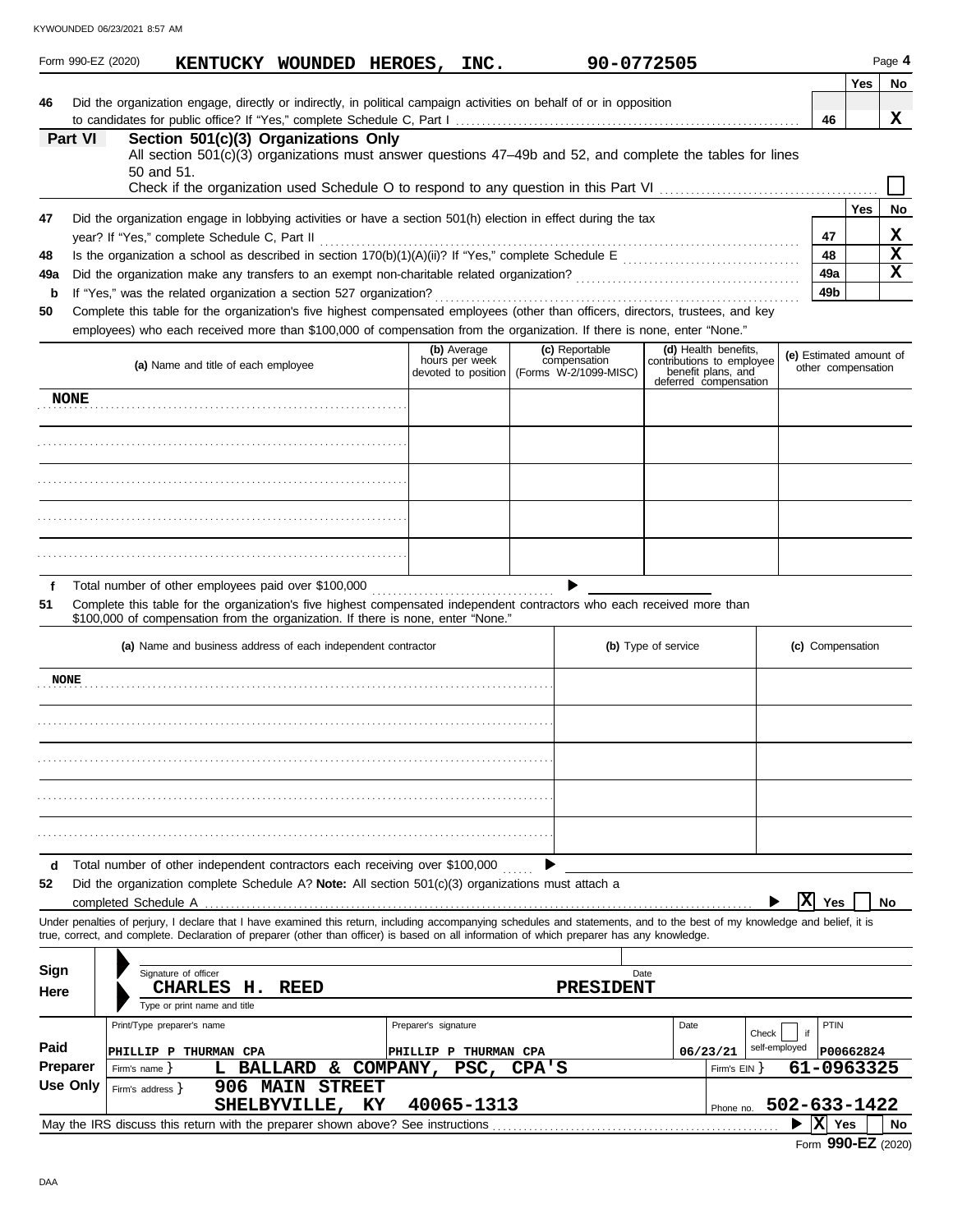|                 |                 | Form 990-EZ (2020)   |                                                                 |    | KENTUCKY WOUNDED HEROES,                                                                                                                                                         |          |                      | INC.                          |       | 90-0772505                                                                                                                                                                                                                                                                                                               |                     |                                                                                                  |               |                                           |                                               | Page 4                     |
|-----------------|-----------------|----------------------|-----------------------------------------------------------------|----|----------------------------------------------------------------------------------------------------------------------------------------------------------------------------------|----------|----------------------|-------------------------------|-------|--------------------------------------------------------------------------------------------------------------------------------------------------------------------------------------------------------------------------------------------------------------------------------------------------------------------------|---------------------|--------------------------------------------------------------------------------------------------|---------------|-------------------------------------------|-----------------------------------------------|----------------------------|
| 46              |                 |                      |                                                                 |    |                                                                                                                                                                                  |          |                      |                               |       | Did the organization engage, directly or indirectly, in political campaign activities on behalf of or in opposition                                                                                                                                                                                                      |                     |                                                                                                  |               |                                           | Yes                                           | No                         |
|                 | Part VI         |                      | 50 and 51.                                                      |    | Section 501(c)(3) Organizations Only                                                                                                                                             |          |                      |                               |       | All section 501(c)(3) organizations must answer questions 47-49b and 52, and complete the tables for lines                                                                                                                                                                                                               |                     |                                                                                                  |               | 46                                        |                                               | x                          |
| 47              |                 |                      |                                                                 |    |                                                                                                                                                                                  |          |                      |                               |       | Did the organization engage in lobbying activities or have a section 501(h) election in effect during the tax                                                                                                                                                                                                            |                     |                                                                                                  |               |                                           | Yes                                           | No                         |
|                 |                 |                      |                                                                 |    |                                                                                                                                                                                  |          |                      |                               |       |                                                                                                                                                                                                                                                                                                                          |                     |                                                                                                  |               | 47                                        |                                               | х                          |
| 48<br>49a       |                 |                      |                                                                 |    |                                                                                                                                                                                  |          |                      |                               |       |                                                                                                                                                                                                                                                                                                                          |                     |                                                                                                  |               | 48<br>49a                                 |                                               | $\mathbf x$<br>$\mathbf x$ |
| b               |                 |                      |                                                                 |    |                                                                                                                                                                                  |          |                      |                               |       |                                                                                                                                                                                                                                                                                                                          |                     |                                                                                                  |               | 49b                                       |                                               |                            |
| 50              |                 |                      |                                                                 |    |                                                                                                                                                                                  |          |                      |                               |       | Complete this table for the organization's five highest compensated employees (other than officers, directors, trustees, and key                                                                                                                                                                                         |                     |                                                                                                  |               |                                           |                                               |                            |
|                 |                 |                      |                                                                 |    |                                                                                                                                                                                  |          |                      |                               |       | employees) who each received more than \$100,000 of compensation from the organization. If there is none, enter "None."                                                                                                                                                                                                  |                     |                                                                                                  |               |                                           |                                               |                            |
|                 |                 |                      | (a) Name and title of each employee                             |    |                                                                                                                                                                                  |          |                      | (b) Average<br>hours per week |       | (c) Reportable<br>compensation<br>devoted to position   (Forms W-2/1099-MISC)                                                                                                                                                                                                                                            |                     | (d) Health benefits.<br>contributions to employee<br>benefit plans, and<br>deferred compensation |               |                                           | (e) Estimated amount of<br>other compensation |                            |
|                 | <b>NONE</b>     |                      |                                                                 |    |                                                                                                                                                                                  |          |                      |                               |       |                                                                                                                                                                                                                                                                                                                          |                     |                                                                                                  |               |                                           |                                               |                            |
|                 |                 |                      |                                                                 |    |                                                                                                                                                                                  |          |                      |                               |       |                                                                                                                                                                                                                                                                                                                          |                     |                                                                                                  |               |                                           |                                               |                            |
|                 |                 |                      |                                                                 |    |                                                                                                                                                                                  |          |                      |                               |       |                                                                                                                                                                                                                                                                                                                          |                     |                                                                                                  |               |                                           |                                               |                            |
|                 |                 |                      |                                                                 |    |                                                                                                                                                                                  |          |                      |                               |       |                                                                                                                                                                                                                                                                                                                          |                     |                                                                                                  |               |                                           |                                               |                            |
|                 |                 |                      |                                                                 |    |                                                                                                                                                                                  |          |                      |                               |       |                                                                                                                                                                                                                                                                                                                          |                     |                                                                                                  |               |                                           |                                               |                            |
| f<br>51         |                 |                      |                                                                 |    | Total number of other employees paid over \$100,000<br>\$100,000 of compensation from the organization. If there is none, enter "None."                                          |          |                      |                               |       | Complete this table for the organization's five highest compensated independent contractors who each received more than                                                                                                                                                                                                  |                     |                                                                                                  |               |                                           |                                               |                            |
|                 |                 |                      |                                                                 |    | (a) Name and business address of each independent contractor                                                                                                                     |          |                      |                               |       |                                                                                                                                                                                                                                                                                                                          | (b) Type of service |                                                                                                  |               |                                           | (c) Compensation                              |                            |
|                 | <b>NONE</b>     |                      |                                                                 |    |                                                                                                                                                                                  |          |                      |                               |       |                                                                                                                                                                                                                                                                                                                          |                     |                                                                                                  |               |                                           |                                               |                            |
|                 |                 |                      |                                                                 |    |                                                                                                                                                                                  |          |                      |                               |       |                                                                                                                                                                                                                                                                                                                          |                     |                                                                                                  |               |                                           |                                               |                            |
|                 |                 |                      |                                                                 |    |                                                                                                                                                                                  |          |                      |                               |       |                                                                                                                                                                                                                                                                                                                          |                     |                                                                                                  |               |                                           |                                               |                            |
|                 |                 |                      |                                                                 |    |                                                                                                                                                                                  |          |                      |                               |       |                                                                                                                                                                                                                                                                                                                          |                     |                                                                                                  |               |                                           |                                               |                            |
|                 |                 |                      |                                                                 |    |                                                                                                                                                                                  |          |                      |                               |       |                                                                                                                                                                                                                                                                                                                          |                     |                                                                                                  |               |                                           |                                               |                            |
| d<br>52         |                 | completed Schedule A |                                                                 |    | Total number of other independent contractors each receiving over \$100,000<br>Did the organization complete Schedule A? Note: All section 501(c)(3) organizations must attach a |          |                      |                               |       |                                                                                                                                                                                                                                                                                                                          |                     |                                                                                                  | x             | Yes                                       |                                               | No                         |
|                 |                 |                      |                                                                 |    |                                                                                                                                                                                  |          |                      |                               |       | Under penalties of perjury, I declare that I have examined this return, including accompanying schedules and statements, and to the best of my knowledge and belief, it is<br>true, correct, and complete. Declaration of preparer (other than officer) is based on all information of which preparer has any knowledge. |                     |                                                                                                  |               |                                           |                                               |                            |
|                 |                 |                      |                                                                 |    |                                                                                                                                                                                  |          |                      |                               |       |                                                                                                                                                                                                                                                                                                                          |                     |                                                                                                  |               |                                           |                                               |                            |
| Sign<br>Here    |                 |                      | Signature of officer<br>CHARLES<br>Type or print name and title | н. | <b>REED</b>                                                                                                                                                                      |          |                      |                               |       | Date<br><b>PRESIDENT</b>                                                                                                                                                                                                                                                                                                 |                     |                                                                                                  |               |                                           |                                               |                            |
|                 |                 |                      | Print/Type preparer's name                                      |    |                                                                                                                                                                                  |          | Preparer's signature |                               |       |                                                                                                                                                                                                                                                                                                                          | Date                |                                                                                                  |               | PTIN                                      |                                               |                            |
| Paid            |                 |                      | PHILLIP P THURMAN CPA                                           |    |                                                                                                                                                                                  |          |                      | <b>PHILLIP P THURMAN CPA</b>  |       |                                                                                                                                                                                                                                                                                                                          |                     | Check<br>06/23/21                                                                                | self-employed |                                           | P00662824                                     |                            |
| <b>Preparer</b> |                 | Firm's name $\}$     |                                                                 | L. | <b>BALLARD</b><br>&.                                                                                                                                                             | COMPANY, |                      | PSC,                          | CPA'S |                                                                                                                                                                                                                                                                                                                          |                     | Firm's $EIN$ }                                                                                   |               |                                           | 61-0963325                                    |                            |
|                 | <b>Use Only</b> | Firm's address $\}$  |                                                                 |    | 906 MAIN STREET                                                                                                                                                                  |          |                      |                               |       |                                                                                                                                                                                                                                                                                                                          |                     |                                                                                                  |               |                                           |                                               |                            |
|                 |                 |                      |                                                                 |    | SHELBYVILLE,                                                                                                                                                                     | KY       |                      | 40065-1313                    |       |                                                                                                                                                                                                                                                                                                                          |                     | Phone no.                                                                                        | 502-633-1422  |                                           |                                               |                            |
|                 |                 |                      |                                                                 |    | May the IRS discuss this return with the preparer shown above? See instructions                                                                                                  |          |                      |                               |       |                                                                                                                                                                                                                                                                                                                          |                     |                                                                                                  |               | $\blacktriangleright$ $\mid$ X $\mid$ Yes |                                               | No                         |

|  | Form 990-EZ (2020) |  |
|--|--------------------|--|
|--|--------------------|--|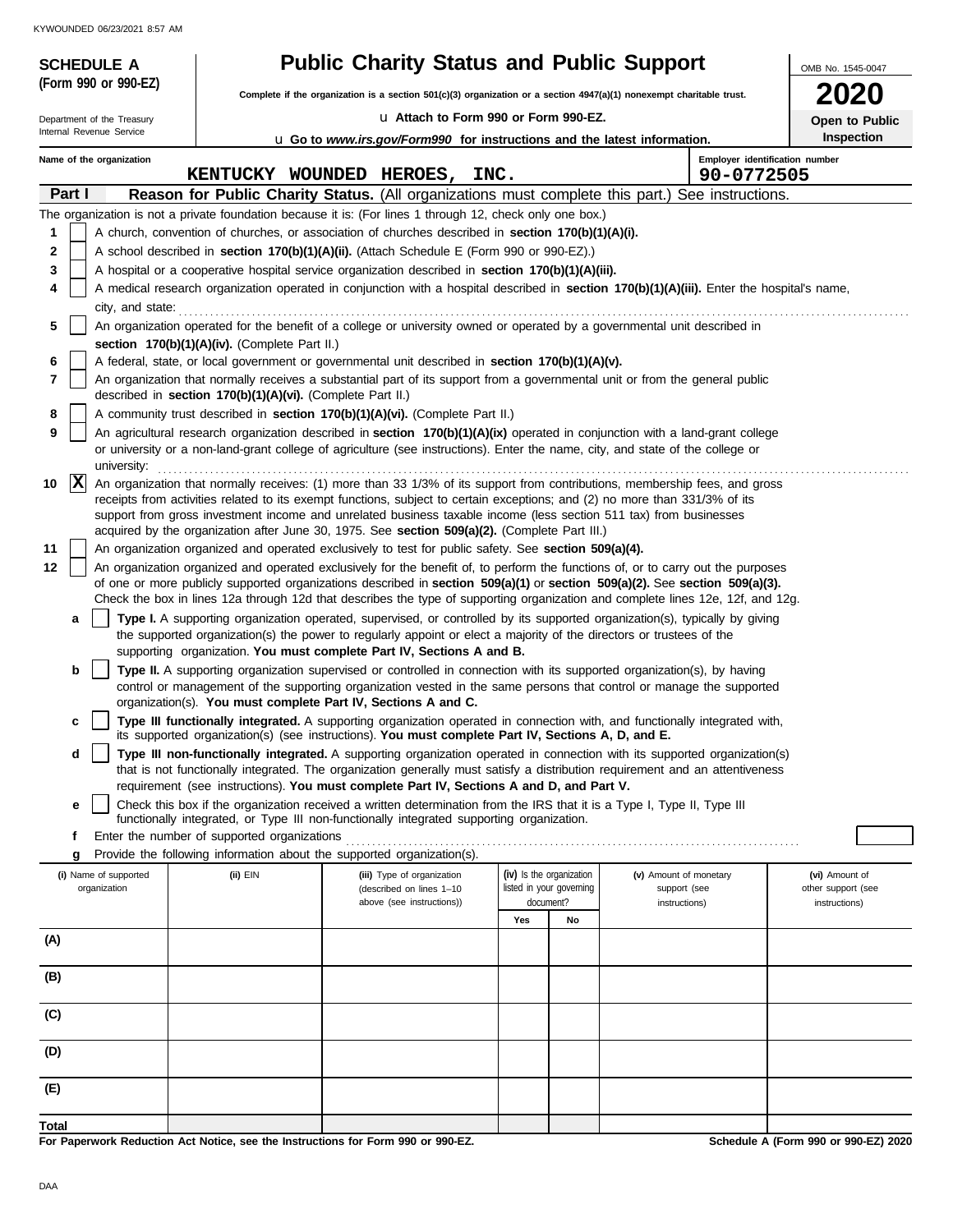| (Form 990 or 990-EZ)<br>Department of the Treasury<br>Internal Revenue Service<br>Name of the organization<br>Part I<br>1<br>2<br>3<br>4<br>city, and state: |                                                            | Complete if the organization is a section $501(c)(3)$ organization or a section $4947(a)(1)$ nonexempt charitable trust.<br><b>u</b> Go to www.irs.gov/Form990 for instructions and the latest information.<br>KENTUCKY WOUNDED HEROES, INC. |     |                                       |                                                                                                                                                                                                                                                                | <b>2020</b><br>Open to Public       |  |  |
|--------------------------------------------------------------------------------------------------------------------------------------------------------------|------------------------------------------------------------|----------------------------------------------------------------------------------------------------------------------------------------------------------------------------------------------------------------------------------------------|-----|---------------------------------------|----------------------------------------------------------------------------------------------------------------------------------------------------------------------------------------------------------------------------------------------------------------|-------------------------------------|--|--|
|                                                                                                                                                              |                                                            |                                                                                                                                                                                                                                              |     |                                       |                                                                                                                                                                                                                                                                |                                     |  |  |
|                                                                                                                                                              |                                                            |                                                                                                                                                                                                                                              |     | La Attach to Form 990 or Form 990-EZ. |                                                                                                                                                                                                                                                                |                                     |  |  |
|                                                                                                                                                              |                                                            |                                                                                                                                                                                                                                              |     |                                       |                                                                                                                                                                                                                                                                | Inspection                          |  |  |
|                                                                                                                                                              |                                                            |                                                                                                                                                                                                                                              |     |                                       | 90-0772505                                                                                                                                                                                                                                                     | Employer identification number      |  |  |
|                                                                                                                                                              |                                                            |                                                                                                                                                                                                                                              |     |                                       | Reason for Public Charity Status. (All organizations must complete this part.) See instructions.                                                                                                                                                               |                                     |  |  |
|                                                                                                                                                              |                                                            | The organization is not a private foundation because it is: (For lines 1 through 12, check only one box.)                                                                                                                                    |     |                                       |                                                                                                                                                                                                                                                                |                                     |  |  |
|                                                                                                                                                              |                                                            | A church, convention of churches, or association of churches described in section 170(b)(1)(A)(i).                                                                                                                                           |     |                                       |                                                                                                                                                                                                                                                                |                                     |  |  |
|                                                                                                                                                              |                                                            | A school described in section 170(b)(1)(A)(ii). (Attach Schedule E (Form 990 or 990-EZ).)                                                                                                                                                    |     |                                       |                                                                                                                                                                                                                                                                |                                     |  |  |
|                                                                                                                                                              |                                                            | A hospital or a cooperative hospital service organization described in section 170(b)(1)(A)(iii).                                                                                                                                            |     |                                       | A medical research organization operated in conjunction with a hospital described in section 170(b)(1)(A)(iii). Enter the hospital's name,                                                                                                                     |                                     |  |  |
|                                                                                                                                                              |                                                            |                                                                                                                                                                                                                                              |     |                                       |                                                                                                                                                                                                                                                                |                                     |  |  |
| 5                                                                                                                                                            |                                                            | An organization operated for the benefit of a college or university owned or operated by a governmental unit described in                                                                                                                    |     |                                       |                                                                                                                                                                                                                                                                |                                     |  |  |
|                                                                                                                                                              | section 170(b)(1)(A)(iv). (Complete Part II.)              |                                                                                                                                                                                                                                              |     |                                       |                                                                                                                                                                                                                                                                |                                     |  |  |
| 6                                                                                                                                                            |                                                            | A federal, state, or local government or governmental unit described in section 170(b)(1)(A)(v).                                                                                                                                             |     |                                       |                                                                                                                                                                                                                                                                |                                     |  |  |
| 7                                                                                                                                                            | described in section 170(b)(1)(A)(vi). (Complete Part II.) |                                                                                                                                                                                                                                              |     |                                       | An organization that normally receives a substantial part of its support from a governmental unit or from the general public                                                                                                                                   |                                     |  |  |
| 8                                                                                                                                                            |                                                            | A community trust described in section 170(b)(1)(A)(vi). (Complete Part II.)                                                                                                                                                                 |     |                                       |                                                                                                                                                                                                                                                                |                                     |  |  |
| 9                                                                                                                                                            |                                                            |                                                                                                                                                                                                                                              |     |                                       | An agricultural research organization described in section 170(b)(1)(A)(ix) operated in conjunction with a land-grant college                                                                                                                                  |                                     |  |  |
|                                                                                                                                                              |                                                            | or university or a non-land-grant college of agriculture (see instructions). Enter the name, city, and state of the college or                                                                                                               |     |                                       |                                                                                                                                                                                                                                                                |                                     |  |  |
| university:<br>$ {\bf x} $<br>10                                                                                                                             |                                                            |                                                                                                                                                                                                                                              |     |                                       | An organization that normally receives: (1) more than 33 1/3% of its support from contributions, membership fees, and gross                                                                                                                                    |                                     |  |  |
|                                                                                                                                                              |                                                            | receipts from activities related to its exempt functions, subject to certain exceptions; and (2) no more than 331/3% of its                                                                                                                  |     |                                       |                                                                                                                                                                                                                                                                |                                     |  |  |
|                                                                                                                                                              |                                                            | support from gross investment income and unrelated business taxable income (less section 511 tax) from businesses<br>acquired by the organization after June 30, 1975. See section 509(a)(2). (Complete Part III.)                           |     |                                       |                                                                                                                                                                                                                                                                |                                     |  |  |
| 11                                                                                                                                                           |                                                            | An organization organized and operated exclusively to test for public safety. See section 509(a)(4).                                                                                                                                         |     |                                       |                                                                                                                                                                                                                                                                |                                     |  |  |
| 12                                                                                                                                                           |                                                            |                                                                                                                                                                                                                                              |     |                                       | An organization organized and operated exclusively for the benefit of, to perform the functions of, or to carry out the purposes                                                                                                                               |                                     |  |  |
|                                                                                                                                                              |                                                            |                                                                                                                                                                                                                                              |     |                                       | of one or more publicly supported organizations described in section 509(a)(1) or section 509(a)(2). See section 509(a)(3).                                                                                                                                    |                                     |  |  |
| a                                                                                                                                                            |                                                            |                                                                                                                                                                                                                                              |     |                                       | Check the box in lines 12a through 12d that describes the type of supporting organization and complete lines 12e, 12f, and 12g.<br>Type I. A supporting organization operated, supervised, or controlled by its supported organization(s), typically by giving |                                     |  |  |
|                                                                                                                                                              |                                                            | the supported organization(s) the power to regularly appoint or elect a majority of the directors or trustees of the                                                                                                                         |     |                                       |                                                                                                                                                                                                                                                                |                                     |  |  |
|                                                                                                                                                              |                                                            | supporting organization. You must complete Part IV, Sections A and B.                                                                                                                                                                        |     |                                       |                                                                                                                                                                                                                                                                |                                     |  |  |
| b                                                                                                                                                            |                                                            | Type II. A supporting organization supervised or controlled in connection with its supported organization(s), by having                                                                                                                      |     |                                       |                                                                                                                                                                                                                                                                |                                     |  |  |
|                                                                                                                                                              |                                                            | organization(s). You must complete Part IV, Sections A and C.                                                                                                                                                                                |     |                                       | control or management of the supporting organization vested in the same persons that control or manage the supported                                                                                                                                           |                                     |  |  |
| c                                                                                                                                                            |                                                            |                                                                                                                                                                                                                                              |     |                                       | Type III functionally integrated. A supporting organization operated in connection with, and functionally integrated with,                                                                                                                                     |                                     |  |  |
|                                                                                                                                                              |                                                            | its supported organization(s) (see instructions). You must complete Part IV, Sections A, D, and E.                                                                                                                                           |     |                                       |                                                                                                                                                                                                                                                                |                                     |  |  |
| d                                                                                                                                                            |                                                            |                                                                                                                                                                                                                                              |     |                                       | Type III non-functionally integrated. A supporting organization operated in connection with its supported organization(s)<br>that is not functionally integrated. The organization generally must satisfy a distribution requirement and an attentiveness      |                                     |  |  |
|                                                                                                                                                              |                                                            | requirement (see instructions). You must complete Part IV, Sections A and D, and Part V.                                                                                                                                                     |     |                                       |                                                                                                                                                                                                                                                                |                                     |  |  |
| е                                                                                                                                                            |                                                            | Check this box if the organization received a written determination from the IRS that it is a Type I, Type II, Type III                                                                                                                      |     |                                       |                                                                                                                                                                                                                                                                |                                     |  |  |
| f                                                                                                                                                            | Enter the number of supported organizations                | functionally integrated, or Type III non-functionally integrated supporting organization.                                                                                                                                                    |     |                                       |                                                                                                                                                                                                                                                                |                                     |  |  |
| g                                                                                                                                                            |                                                            | Provide the following information about the supported organization(s).                                                                                                                                                                       |     |                                       |                                                                                                                                                                                                                                                                |                                     |  |  |
| (i) Name of supported                                                                                                                                        | (ii) EIN                                                   | (iii) Type of organization                                                                                                                                                                                                                   |     | (iv) Is the organization              | (v) Amount of monetary                                                                                                                                                                                                                                         | (vi) Amount of                      |  |  |
| organization                                                                                                                                                 |                                                            | (described on lines 1-10<br>above (see instructions))                                                                                                                                                                                        |     | listed in your governing<br>document? | support (see<br>instructions)                                                                                                                                                                                                                                  | other support (see<br>instructions) |  |  |
|                                                                                                                                                              |                                                            |                                                                                                                                                                                                                                              | Yes | No                                    |                                                                                                                                                                                                                                                                |                                     |  |  |
| (A)                                                                                                                                                          |                                                            |                                                                                                                                                                                                                                              |     |                                       |                                                                                                                                                                                                                                                                |                                     |  |  |
|                                                                                                                                                              |                                                            |                                                                                                                                                                                                                                              |     |                                       |                                                                                                                                                                                                                                                                |                                     |  |  |
| (B)                                                                                                                                                          |                                                            |                                                                                                                                                                                                                                              |     |                                       |                                                                                                                                                                                                                                                                |                                     |  |  |
| (C)                                                                                                                                                          |                                                            |                                                                                                                                                                                                                                              |     |                                       |                                                                                                                                                                                                                                                                |                                     |  |  |
|                                                                                                                                                              |                                                            |                                                                                                                                                                                                                                              |     |                                       |                                                                                                                                                                                                                                                                |                                     |  |  |
| (D)                                                                                                                                                          |                                                            |                                                                                                                                                                                                                                              |     |                                       |                                                                                                                                                                                                                                                                |                                     |  |  |
|                                                                                                                                                              |                                                            |                                                                                                                                                                                                                                              |     |                                       |                                                                                                                                                                                                                                                                |                                     |  |  |
| (E)                                                                                                                                                          |                                                            |                                                                                                                                                                                                                                              |     |                                       |                                                                                                                                                                                                                                                                |                                     |  |  |
|                                                                                                                                                              |                                                            |                                                                                                                                                                                                                                              |     |                                       |                                                                                                                                                                                                                                                                |                                     |  |  |

**For Paperwork Reduction Act Notice, see the Instructions for Form 990 or 990-EZ.**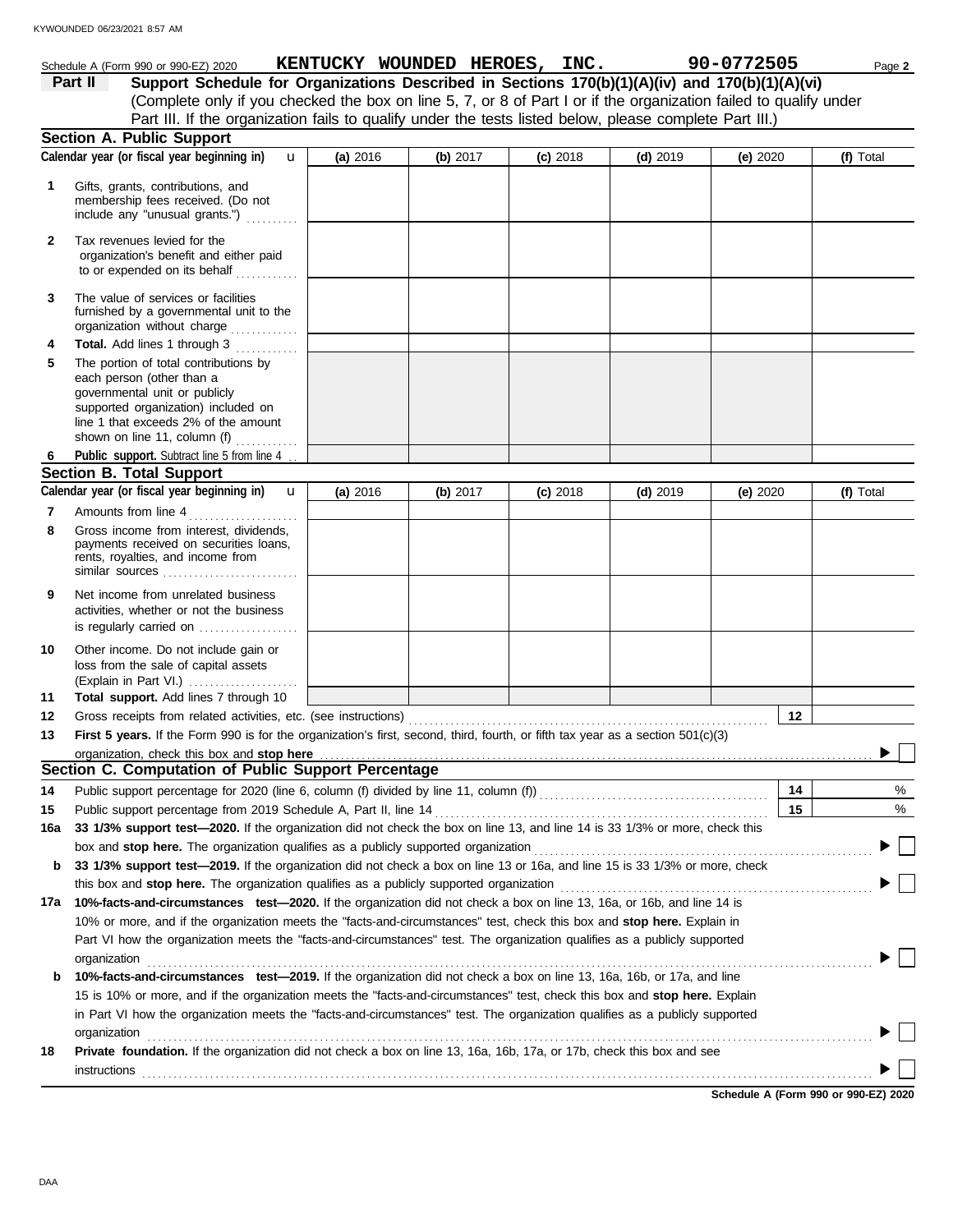(Explain in Part VI.) . . . . . . . . . . . . . . . . . . . . .

organization, check this box and stop here

**Section C. Computation of Public Support Percentage**

**Total support.** Add lines 7 through 10

loss from the sale of capital assets Other income. Do not include gain or is regularly carried on ................... activities, whether or not the business Net income from unrelated business

rents, royalties, and income from payments received on securities loans, Gross income from interest, dividends,

governmental unit or publicly

The value of services or facilities

Tax revenues levied for the

to or expended on its behalf ............ organization's benefit and either paid

furnished by a governmental unit to the organization without charge ..............

each person (other than a The portion of total contributions by **Total.** Add lines 1 through 3 .............

**Section B. Total Support**

line 1 that exceeds 2% of the amount supported organization) included on

Public support. Subtract line 5 from line 4.

shown on line 11, column (f)  $\ldots$ 

Amounts from line 4

similar sources ..............................

|         | Schedule A (Form 990 or 990-EZ) 2020                                                                              |          | KENTUCKY WOUNDED HEROES, INC. |            |            | 90-0772505 | Page 2    |  |  |
|---------|-------------------------------------------------------------------------------------------------------------------|----------|-------------------------------|------------|------------|------------|-----------|--|--|
| Part II | Support Schedule for Organizations Described in Sections 170(b)(1)(A)(iv) and 170(b)(1)(A)(vi)                    |          |                               |            |            |            |           |  |  |
|         | (Complete only if you checked the box on line 5, 7, or 8 of Part I or if the organization failed to qualify under |          |                               |            |            |            |           |  |  |
|         | Part III. If the organization fails to qualify under the tests listed below, please complete Part III.)           |          |                               |            |            |            |           |  |  |
|         | <b>Section A. Public Support</b>                                                                                  |          |                               |            |            |            |           |  |  |
|         | Calendar year (or fiscal year beginning in)<br>$\mathbf{u}$                                                       | (a) 2016 | (b) 2017                      | $(c)$ 2018 | $(d)$ 2019 | (e) $2020$ | (f) Total |  |  |
|         | Gifts, grants, contributions, and<br>membership fees received. (Do not<br>include any "unusual grants.")          |          |                               |            |            |            |           |  |  |

|    | organization                                                                                                                 |
|----|------------------------------------------------------------------------------------------------------------------------------|
| 18 | <b>Private foundation.</b> If the organization did not check a box on line 13, 16a, 16b, 17a, or 17b, check this box and see |
|    | instructions                                                                                                                 |

**First 5 years.** If the Form 990 is for the organization's first, second, third, fourth, or fifth tax year as a section 501(c)(3) Gross receipts from related activities, etc. (see instructions) . . . . . . . . . . . . . . . . . . . . . . . . . . . . . . . . . . . . . . . . . . . . . . . . . . . . . . . . . . . . . . . . . . . . .

**(a)** 2016

**14** Public support percentage for 2020 (line 6, column (f) divided by line 11, column (f)) . . . . . . . . . . . . . . . . . . . . . . . . . . . . . . . . . . . . . . . . . . . . Public support percentage from 2019 Schedule A, Part II, line 14 . . . . . . . . . . . . . . . . . . . . . . . . . . . . . . . . . . . . . . . . . . . . . . . . . . . . . . . . . . . . . . . .

**16a 33 1/3% support test—2020.** If the organization did not check the box on line 13, and line 14 is 33 1/3% or more, check this

**17a 10%-facts-and-circumstances test—2020.** If the organization did not check a box on line 13, 16a, or 16b, and line 14 is 10% or more, and if the organization meets the "facts-and-circumstances" test, check this box and **stop here.** Explain in Part VI how the organization meets the "facts-and-circumstances" test. The organization qualifies as a publicly supported

**b 10%-facts-and-circumstances test—2019.** If the organization did not check a box on line 13, 16a, 16b, or 17a, and line

organization . . . . . . . . . . . . . . . . . . . . . . . . . . . . . . . . . . . . . . . . . . . . . . . . . . . . . . . . . . . . . . . . . . . . . . . . . . . . . . . . . . . . . . . . . . . . . . . . . . . . . . . . . . . . . . . . . . . . . . . . . . . . . . . . . . . . . . . . . . .

in Part VI how the organization meets the "facts-and-circumstances" test. The organization qualifies as a publicly supported 15 is 10% or more, and if the organization meets the "facts-and-circumstances" test, check this box and **stop here.** Explain

**b 33 1/3% support test—2019.** If the organization did not check a box on line 13 or 16a, and line 15 is 33 1/3% or more, check this box and **stop here.** The organization qualifies as a publicly supported organization . . . . . . . . . . . . . . . . . . . . . . . . . . . . . . . . . . . . . . . . . . . . . . . . . . . . . . . . . . . .

box and **stop here.** The organization qualifies as a publicly supported organization . . . . . . . . . . . . . . . . . . . . . . . . . . . . . . . . . . . . . . . . . . . . . . . . . . . . . . . . . . . . . . . . .

**Calendar year (or fiscal year beginning in) (f)** Total

u **(b)** 2017 **(c)** 2018 **(d)** 2019 **(e)** 2020

**Schedule A (Form 990 or 990-EZ) 2020**

**12**

**14 15**  $\frac{1}{2}$ %

**13 12 11**

**15**

**9**

**10**

**8**

**7**

**6**

**4**

**5**

**3**

**2**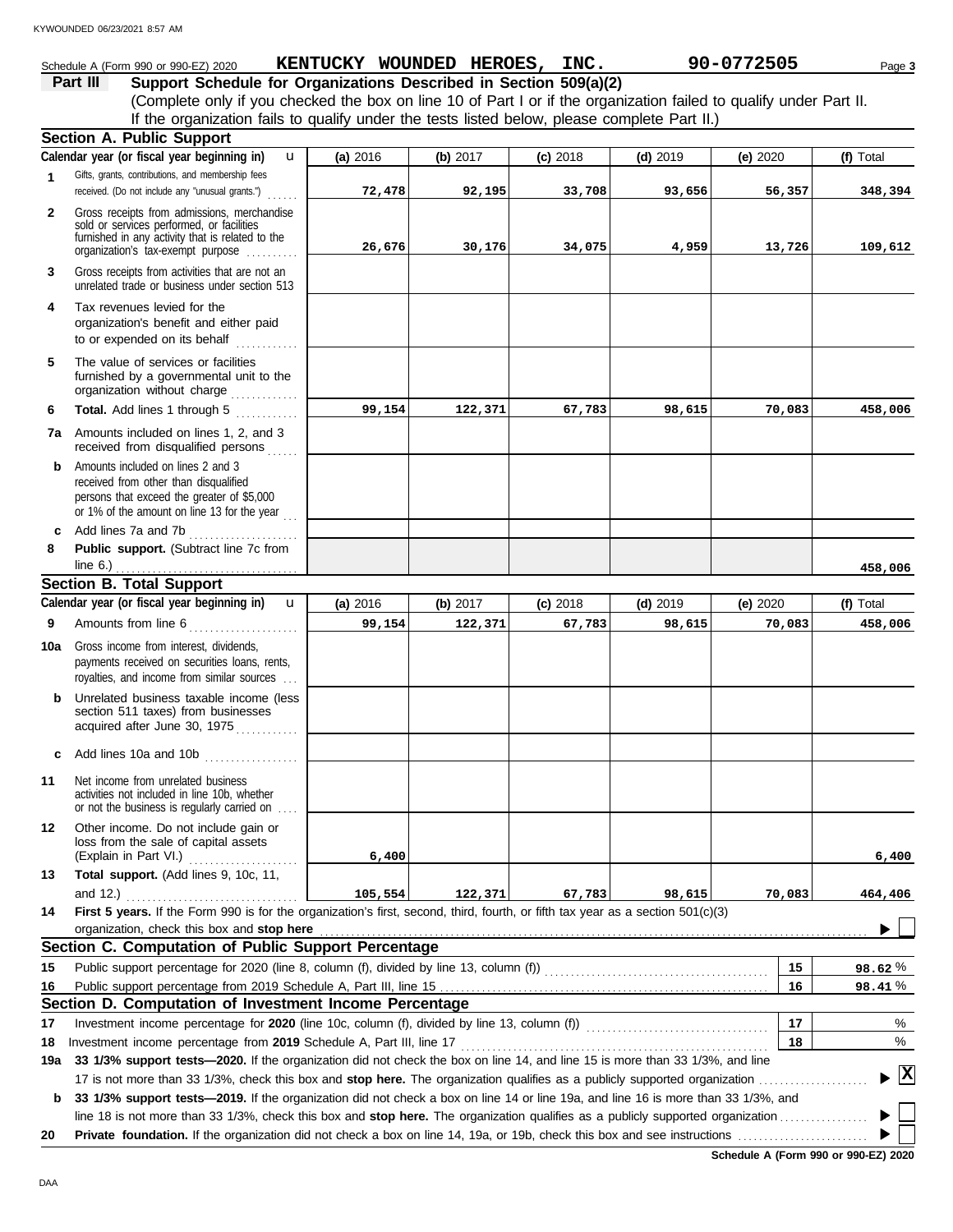|              | Schedule A (Form 990 or 990-EZ) 2020                                                                                                                                              | KENTUCKY WOUNDED HEROES, INC. |          |            |            | 90-0772505 | Page 3       |
|--------------|-----------------------------------------------------------------------------------------------------------------------------------------------------------------------------------|-------------------------------|----------|------------|------------|------------|--------------|
|              | Part III<br>Support Schedule for Organizations Described in Section 509(a)(2)                                                                                                     |                               |          |            |            |            |              |
|              | (Complete only if you checked the box on line 10 of Part I or if the organization failed to qualify under Part II.                                                                |                               |          |            |            |            |              |
|              | If the organization fails to qualify under the tests listed below, please complete Part II.)                                                                                      |                               |          |            |            |            |              |
|              | <b>Section A. Public Support</b>                                                                                                                                                  |                               |          |            |            |            |              |
|              | Calendar year (or fiscal year beginning in)<br>$\mathbf{u}$                                                                                                                       | (a) 2016                      | (b) 2017 | $(c)$ 2018 | $(d)$ 2019 | (e) $2020$ | (f) Total    |
| 1            | Gifts, grants, contributions, and membership fees<br>received. (Do not include any "unusual grants.")<br>.                                                                        | 72,478                        | 92,195   | 33,708     | 93,656     | 56,357     | 348,394      |
| $\mathbf{2}$ | Gross receipts from admissions, merchandise<br>sold or services performed, or facilities<br>furnished in any activity that is related to the<br>organization's tax-exempt purpose | 26,676                        | 30,176   | 34,075     | 4,959      | 13,726     | 109,612      |
| 3            | Gross receipts from activities that are not an<br>unrelated trade or business under section 513                                                                                   |                               |          |            |            |            |              |
| 4            | Tax revenues levied for the<br>organization's benefit and either paid<br>to or expended on its behalf                                                                             |                               |          |            |            |            |              |
| 5            | The value of services or facilities<br>furnished by a governmental unit to the<br>organization without charge                                                                     |                               |          |            |            |            |              |
| 6            | Total. Add lines 1 through 5                                                                                                                                                      | 99,154                        | 122,371  | 67,783     | 98,615     | 70,083     | 458,006      |
|              | 7a Amounts included on lines 1, 2, and 3<br>received from disqualified persons                                                                                                    |                               |          |            |            |            |              |
| b            | Amounts included on lines 2 and 3<br>received from other than disqualified<br>persons that exceed the greater of \$5,000<br>or 1% of the amount on line 13 for the year $\ldots$  |                               |          |            |            |            |              |
| c            | Add lines 7a and 7b                                                                                                                                                               |                               |          |            |            |            |              |
| 8            | Public support. (Subtract line 7c from                                                                                                                                            |                               |          |            |            |            | 458,006      |
|              | <b>Section B. Total Support</b>                                                                                                                                                   |                               |          |            |            |            |              |
|              | Calendar year (or fiscal year beginning in)<br>$\mathbf{u}$                                                                                                                       | (a) 2016                      | (b) 2017 | $(c)$ 2018 | $(d)$ 2019 | (e) 2020   | (f) Total    |
| 9            | Amounts from line 6                                                                                                                                                               | 99,154                        | 122,371  | 67,783     | 98,615     | 70,083     | 458,006      |
| 10a          | Gross income from interest, dividends,<br>payments received on securities loans, rents,<br>royalties, and income from similar sources                                             |                               |          |            |            |            |              |
| b            | Unrelated business taxable income (less                                                                                                                                           |                               |          |            |            |            |              |
|              | section 511 taxes) from businesses<br>acquired after June 30, 1975                                                                                                                |                               |          |            |            |            |              |
|              | c Add lines 10a and 10b $\ldots$                                                                                                                                                  |                               |          |            |            |            |              |
| 11           | Net income from unrelated business<br>activities not included in line 10b, whether<br>or not the business is regularly carried on                                                 |                               |          |            |            |            |              |
| 12           | Other income. Do not include gain or<br>loss from the sale of capital assets<br>(Explain in Part VI.)                                                                             | 6,400                         |          |            |            |            | 6,400        |
| 13           | Total support. (Add lines 9, 10c, 11,                                                                                                                                             |                               |          |            |            |            |              |
|              |                                                                                                                                                                                   | 105,554                       | 122,371  | 67,783     | 98,615     | 70,083     | 464,406      |
| 14           | First 5 years. If the Form 990 is for the organization's first, second, third, fourth, or fifth tax year as a section 501(c)(3)<br>organization, check this box and stop here     |                               |          |            |            |            |              |
|              | Section C. Computation of Public Support Percentage                                                                                                                               |                               |          |            |            |            |              |
| 15           |                                                                                                                                                                                   |                               |          |            |            | 15         | 98.62 $%$    |
| 16           |                                                                                                                                                                                   |                               |          |            |            | 16         | 98.41%       |
|              | Section D. Computation of Investment Income Percentage                                                                                                                            |                               |          |            |            |            |              |
| 17           | Investment income percentage for 2020 (line 10c, column (f), divided by line 13, column (f)) [[[[[[[[[[[[[[[[[                                                                    |                               |          |            |            | 17         | %            |
| 18           | Investment income percentage from 2019 Schedule A, Part III, line 17                                                                                                              |                               |          |            |            | 18         | %            |
| 19a          | 33 1/3% support tests-2020. If the organization did not check the box on line 14, and line 15 is more than 33 1/3%, and line                                                      |                               |          |            |            |            |              |
|              |                                                                                                                                                                                   |                               |          |            |            |            | $\mathbf{X}$ |
| b            | 33 1/3% support tests-2019. If the organization did not check a box on line 14 or line 19a, and line 16 is more than 33 1/3%, and                                                 |                               |          |            |            |            |              |
|              |                                                                                                                                                                                   |                               |          |            |            |            |              |
| 20           |                                                                                                                                                                                   |                               |          |            |            |            |              |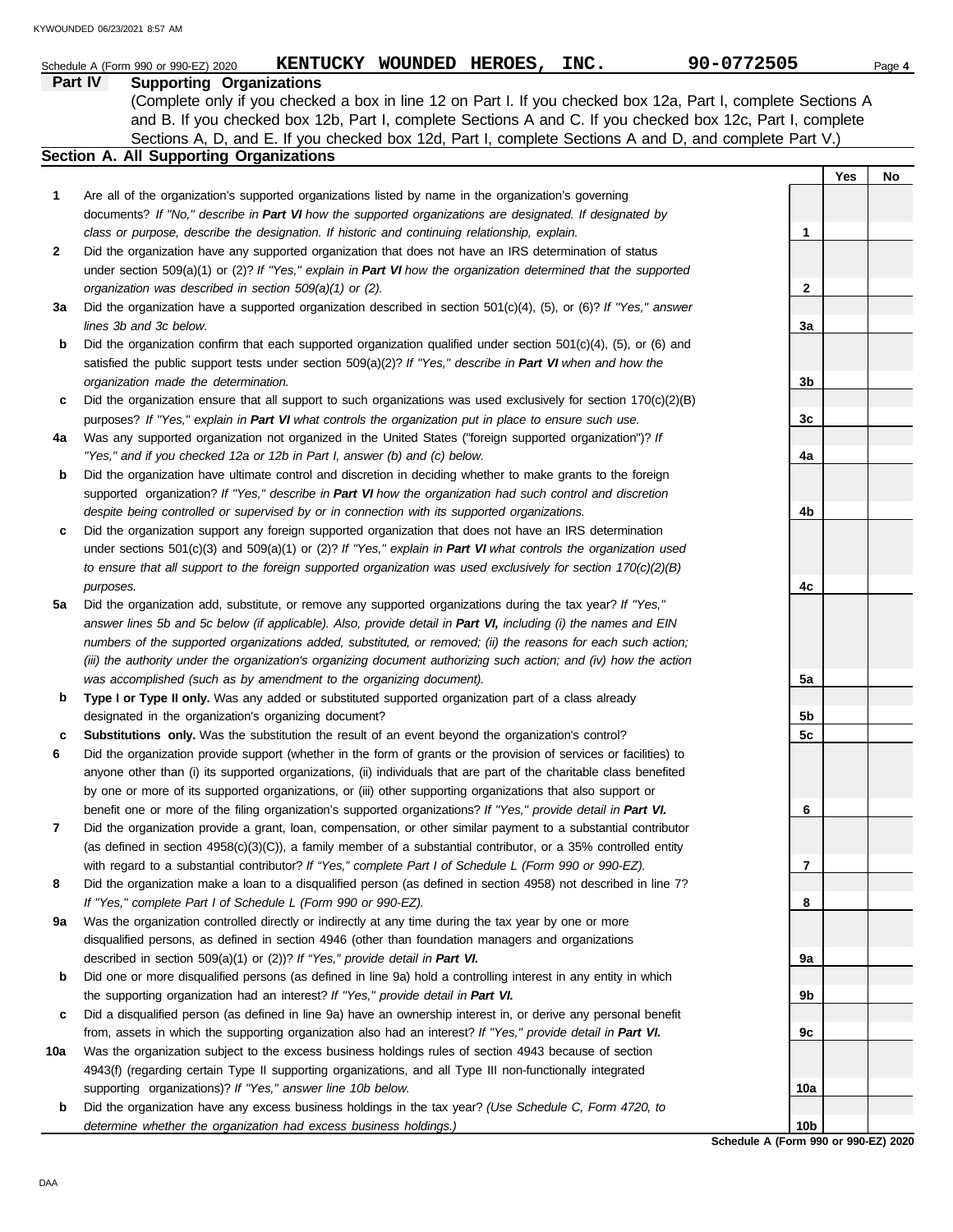|     | 90-0772505<br>KENTUCKY WOUNDED HEROES, INC.<br>Schedule A (Form 990 or 990-EZ) 2020                                                                                                                                                                                                                                                                                                 |                 |     | Page 4 |
|-----|-------------------------------------------------------------------------------------------------------------------------------------------------------------------------------------------------------------------------------------------------------------------------------------------------------------------------------------------------------------------------------------|-----------------|-----|--------|
|     | Part IV<br><b>Supporting Organizations</b><br>(Complete only if you checked a box in line 12 on Part I. If you checked box 12a, Part I, complete Sections A<br>and B. If you checked box 12b, Part I, complete Sections A and C. If you checked box 12c, Part I, complete<br>Sections A, D, and E. If you checked box 12d, Part I, complete Sections A and D, and complete Part V.) |                 |     |        |
|     | Section A. All Supporting Organizations                                                                                                                                                                                                                                                                                                                                             |                 |     |        |
|     |                                                                                                                                                                                                                                                                                                                                                                                     |                 | Yes | No     |
| 1   | Are all of the organization's supported organizations listed by name in the organization's governing                                                                                                                                                                                                                                                                                |                 |     |        |
|     | documents? If "No," describe in Part VI how the supported organizations are designated. If designated by<br>class or purpose, describe the designation. If historic and continuing relationship, explain.                                                                                                                                                                           | 1               |     |        |
| 2   | Did the organization have any supported organization that does not have an IRS determination of status                                                                                                                                                                                                                                                                              |                 |     |        |
|     | under section 509(a)(1) or (2)? If "Yes," explain in Part VI how the organization determined that the supported                                                                                                                                                                                                                                                                     |                 |     |        |
|     | organization was described in section 509(a)(1) or (2).                                                                                                                                                                                                                                                                                                                             | $\mathbf{2}$    |     |        |
| За  | Did the organization have a supported organization described in section $501(c)(4)$ , $(5)$ , or $(6)?$ If "Yes," answer                                                                                                                                                                                                                                                            |                 |     |        |
|     | lines 3b and 3c below.                                                                                                                                                                                                                                                                                                                                                              | 3a              |     |        |
| b   | Did the organization confirm that each supported organization qualified under section $501(c)(4)$ , $(5)$ , or $(6)$ and                                                                                                                                                                                                                                                            |                 |     |        |
|     | satisfied the public support tests under section 509(a)(2)? If "Yes," describe in Part VI when and how the                                                                                                                                                                                                                                                                          |                 |     |        |
|     | organization made the determination.                                                                                                                                                                                                                                                                                                                                                | 3b              |     |        |
| c   | Did the organization ensure that all support to such organizations was used exclusively for section $170(c)(2)(B)$                                                                                                                                                                                                                                                                  |                 |     |        |
|     | purposes? If "Yes," explain in Part VI what controls the organization put in place to ensure such use.                                                                                                                                                                                                                                                                              | 3c              |     |        |
| 4a  | Was any supported organization not organized in the United States ("foreign supported organization")? If<br>"Yes," and if you checked 12a or 12b in Part I, answer (b) and (c) below.                                                                                                                                                                                               | 4a              |     |        |
| b   | Did the organization have ultimate control and discretion in deciding whether to make grants to the foreign                                                                                                                                                                                                                                                                         |                 |     |        |
|     | supported organization? If "Yes," describe in Part VI how the organization had such control and discretion                                                                                                                                                                                                                                                                          |                 |     |        |
|     | despite being controlled or supervised by or in connection with its supported organizations.                                                                                                                                                                                                                                                                                        | 4b              |     |        |
| c   | Did the organization support any foreign supported organization that does not have an IRS determination                                                                                                                                                                                                                                                                             |                 |     |        |
|     | under sections $501(c)(3)$ and $509(a)(1)$ or (2)? If "Yes," explain in Part VI what controls the organization used                                                                                                                                                                                                                                                                 |                 |     |        |
|     | to ensure that all support to the foreign supported organization was used exclusively for section $170(c)(2)(B)$                                                                                                                                                                                                                                                                    |                 |     |        |
|     | purposes.                                                                                                                                                                                                                                                                                                                                                                           | 4c              |     |        |
| 5a  | Did the organization add, substitute, or remove any supported organizations during the tax year? If "Yes,"                                                                                                                                                                                                                                                                          |                 |     |        |
|     | answer lines 5b and 5c below (if applicable). Also, provide detail in Part VI, including (i) the names and EIN                                                                                                                                                                                                                                                                      |                 |     |        |
|     | numbers of the supported organizations added, substituted, or removed; (ii) the reasons for each such action;                                                                                                                                                                                                                                                                       |                 |     |        |
|     | (iii) the authority under the organization's organizing document authorizing such action; and (iv) how the action                                                                                                                                                                                                                                                                   |                 |     |        |
| b   | was accomplished (such as by amendment to the organizing document).<br>Type I or Type II only. Was any added or substituted supported organization part of a class already                                                                                                                                                                                                          | 5a              |     |        |
|     | designated in the organization's organizing document?                                                                                                                                                                                                                                                                                                                               | 5b              |     |        |
| c   | Substitutions only. Was the substitution the result of an event beyond the organization's control?                                                                                                                                                                                                                                                                                  | 5c              |     |        |
| 6   | Did the organization provide support (whether in the form of grants or the provision of services or facilities) to                                                                                                                                                                                                                                                                  |                 |     |        |
|     | anyone other than (i) its supported organizations, (ii) individuals that are part of the charitable class benefited                                                                                                                                                                                                                                                                 |                 |     |        |
|     | by one or more of its supported organizations, or (iii) other supporting organizations that also support or                                                                                                                                                                                                                                                                         |                 |     |        |
|     | benefit one or more of the filing organization's supported organizations? If "Yes," provide detail in Part VI.                                                                                                                                                                                                                                                                      | 6               |     |        |
| 7   | Did the organization provide a grant, loan, compensation, or other similar payment to a substantial contributor                                                                                                                                                                                                                                                                     |                 |     |        |
|     | (as defined in section 4958(c)(3)(C)), a family member of a substantial contributor, or a 35% controlled entity                                                                                                                                                                                                                                                                     |                 |     |        |
|     | with regard to a substantial contributor? If "Yes," complete Part I of Schedule L (Form 990 or 990-EZ).                                                                                                                                                                                                                                                                             | 7               |     |        |
| 8   | Did the organization make a loan to a disqualified person (as defined in section 4958) not described in line 7?                                                                                                                                                                                                                                                                     |                 |     |        |
| 9a  | If "Yes," complete Part I of Schedule L (Form 990 or 990-EZ).<br>Was the organization controlled directly or indirectly at any time during the tax year by one or more                                                                                                                                                                                                              | 8               |     |        |
|     | disqualified persons, as defined in section 4946 (other than foundation managers and organizations                                                                                                                                                                                                                                                                                  |                 |     |        |
|     | described in section 509(a)(1) or (2))? If "Yes," provide detail in Part VI.                                                                                                                                                                                                                                                                                                        | 9а              |     |        |
| b   | Did one or more disqualified persons (as defined in line 9a) hold a controlling interest in any entity in which                                                                                                                                                                                                                                                                     |                 |     |        |
|     | the supporting organization had an interest? If "Yes," provide detail in Part VI.                                                                                                                                                                                                                                                                                                   | 9b              |     |        |
| c   | Did a disqualified person (as defined in line 9a) have an ownership interest in, or derive any personal benefit                                                                                                                                                                                                                                                                     |                 |     |        |
|     | from, assets in which the supporting organization also had an interest? If "Yes," provide detail in Part VI.                                                                                                                                                                                                                                                                        | 9с              |     |        |
| 10a | Was the organization subject to the excess business holdings rules of section 4943 because of section                                                                                                                                                                                                                                                                               |                 |     |        |
|     | 4943(f) (regarding certain Type II supporting organizations, and all Type III non-functionally integrated                                                                                                                                                                                                                                                                           |                 |     |        |
|     | supporting organizations)? If "Yes," answer line 10b below.                                                                                                                                                                                                                                                                                                                         | 10a             |     |        |
| b   | Did the organization have any excess business holdings in the tax year? (Use Schedule C, Form 4720, to                                                                                                                                                                                                                                                                              |                 |     |        |
|     | determine whether the organization had excess business holdings.)                                                                                                                                                                                                                                                                                                                   | 10 <sub>b</sub> |     |        |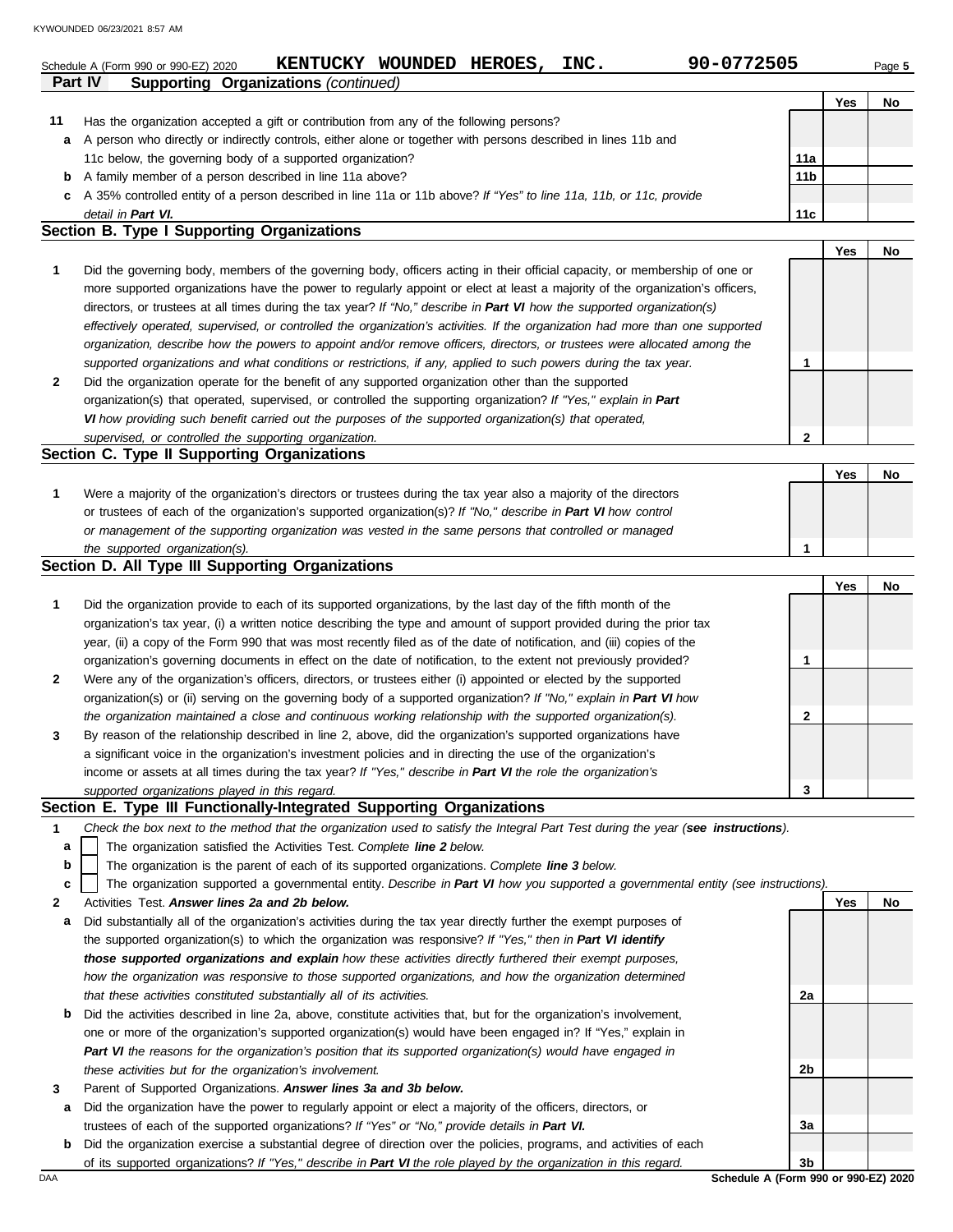|         | 90-0772505<br>KENTUCKY WOUNDED HEROES,<br>INC.<br>Schedule A (Form 990 or 990-EZ) 2020                                            |                 |     | Page 5 |
|---------|-----------------------------------------------------------------------------------------------------------------------------------|-----------------|-----|--------|
| Part IV | <b>Supporting Organizations (continued)</b>                                                                                       |                 |     |        |
| 11      | Has the organization accepted a gift or contribution from any of the following persons?                                           |                 | Yes | No     |
| a       | A person who directly or indirectly controls, either alone or together with persons described in lines 11b and                    |                 |     |        |
|         | 11c below, the governing body of a supported organization?                                                                        | 11a             |     |        |
| b       | A family member of a person described in line 11a above?                                                                          | 11 <sub>b</sub> |     |        |
|         | A 35% controlled entity of a person described in line 11a or 11b above? If "Yes" to line 11a, 11b, or 11c, provide                |                 |     |        |
| c       | detail in Part VI.                                                                                                                | 11c             |     |        |
|         | Section B. Type I Supporting Organizations                                                                                        |                 |     |        |
|         |                                                                                                                                   |                 | Yes | No     |
| 1       | Did the governing body, members of the governing body, officers acting in their official capacity, or membership of one or        |                 |     |        |
|         | more supported organizations have the power to regularly appoint or elect at least a majority of the organization's officers,     |                 |     |        |
|         | directors, or trustees at all times during the tax year? If "No," describe in Part VI how the supported organization(s)           |                 |     |        |
|         | effectively operated, supervised, or controlled the organization's activities. If the organization had more than one supported    |                 |     |        |
|         | organization, describe how the powers to appoint and/or remove officers, directors, or trustees were allocated among the          |                 |     |        |
|         | supported organizations and what conditions or restrictions, if any, applied to such powers during the tax year.                  | 1               |     |        |
| 2       | Did the organization operate for the benefit of any supported organization other than the supported                               |                 |     |        |
|         | organization(s) that operated, supervised, or controlled the supporting organization? If "Yes," explain in Part                   |                 |     |        |
|         | VI how providing such benefit carried out the purposes of the supported organization(s) that operated,                            |                 |     |        |
|         | supervised, or controlled the supporting organization.                                                                            | $\mathbf{2}$    |     |        |
|         | Section C. Type II Supporting Organizations                                                                                       |                 |     |        |
|         |                                                                                                                                   |                 | Yes | No     |
| 1       | Were a majority of the organization's directors or trustees during the tax year also a majority of the directors                  |                 |     |        |
|         | or trustees of each of the organization's supported organization(s)? If "No," describe in Part VI how control                     |                 |     |        |
|         | or management of the supporting organization was vested in the same persons that controlled or managed                            |                 |     |        |
|         | the supported organization(s).                                                                                                    | 1               |     |        |
|         | Section D. All Type III Supporting Organizations                                                                                  |                 |     |        |
|         |                                                                                                                                   |                 | Yes | No     |
| 1       | Did the organization provide to each of its supported organizations, by the last day of the fifth month of the                    |                 |     |        |
|         | organization's tax year, (i) a written notice describing the type and amount of support provided during the prior tax             |                 |     |        |
|         | year, (ii) a copy of the Form 990 that was most recently filed as of the date of notification, and (iii) copies of the            |                 |     |        |
|         | organization's governing documents in effect on the date of notification, to the extent not previously provided?                  | 1               |     |        |
| 2       | Were any of the organization's officers, directors, or trustees either (i) appointed or elected by the supported                  |                 |     |        |
|         | organization(s) or (ii) serving on the governing body of a supported organization? If "No," explain in Part VI how                |                 |     |        |
|         | the organization maintained a close and continuous working relationship with the supported organization(s).                       | $\mathbf{2}$    |     |        |
| 3       | By reason of the relationship described in line 2, above, did the organization's supported organizations have                     |                 |     |        |
|         | a significant voice in the organization's investment policies and in directing the use of the organization's                      |                 |     |        |
|         | income or assets at all times during the tax year? If "Yes," describe in Part VI the role the organization's                      |                 |     |        |
|         | supported organizations played in this regard.                                                                                    | 3               |     |        |
|         | Section E. Type III Functionally-Integrated Supporting Organizations                                                              |                 |     |        |
| 1       | Check the box next to the method that the organization used to satisfy the Integral Part Test during the year (see instructions). |                 |     |        |
| а       | The organization satisfied the Activities Test. Complete line 2 below.                                                            |                 |     |        |
| b       | The organization is the parent of each of its supported organizations. Complete line 3 below.                                     |                 |     |        |
| c       | The organization supported a governmental entity. Describe in Part VI how you supported a governmental entity (see instructions). |                 |     |        |
| 2       | Activities Test. Answer lines 2a and 2b below.                                                                                    |                 | Yes | No     |

- **a** Did substantially all of the organization's activities during the tax year directly further the exempt purposes of the supported organization(s) to which the organization was responsive? *If "Yes," then in Part VI identify those supported organizations and explain how these activities directly furthered their exempt purposes, how the organization was responsive to those supported organizations, and how the organization determined that these activities constituted substantially all of its activities.*
- **b** Did the activities described in line 2a, above, constitute activities that, but for the organization's involvement, one or more of the organization's supported organization(s) would have been engaged in? If "Yes," explain in *Part VI the reasons for the organization's position that its supported organization(s) would have engaged in these activities but for the organization's involvement.*
- **3** Parent of Supported Organizations. *Answer lines 3a and 3b below.*
- **a** Did the organization have the power to regularly appoint or elect a majority of the officers, directors, or trustees of each of the supported organizations? *If "Yes" or "No," provide details in Part VI.*
- **b** Did the organization exercise a substantial degree of direction over the policies, programs, and activities of each of its supported organizations? *If "Yes," describe in Part VI the role played by the organization in this regard.*

DAA **Schedule A (Form 990 or 990-EZ) 2020 3b**

**2a**

**2b**

**3a**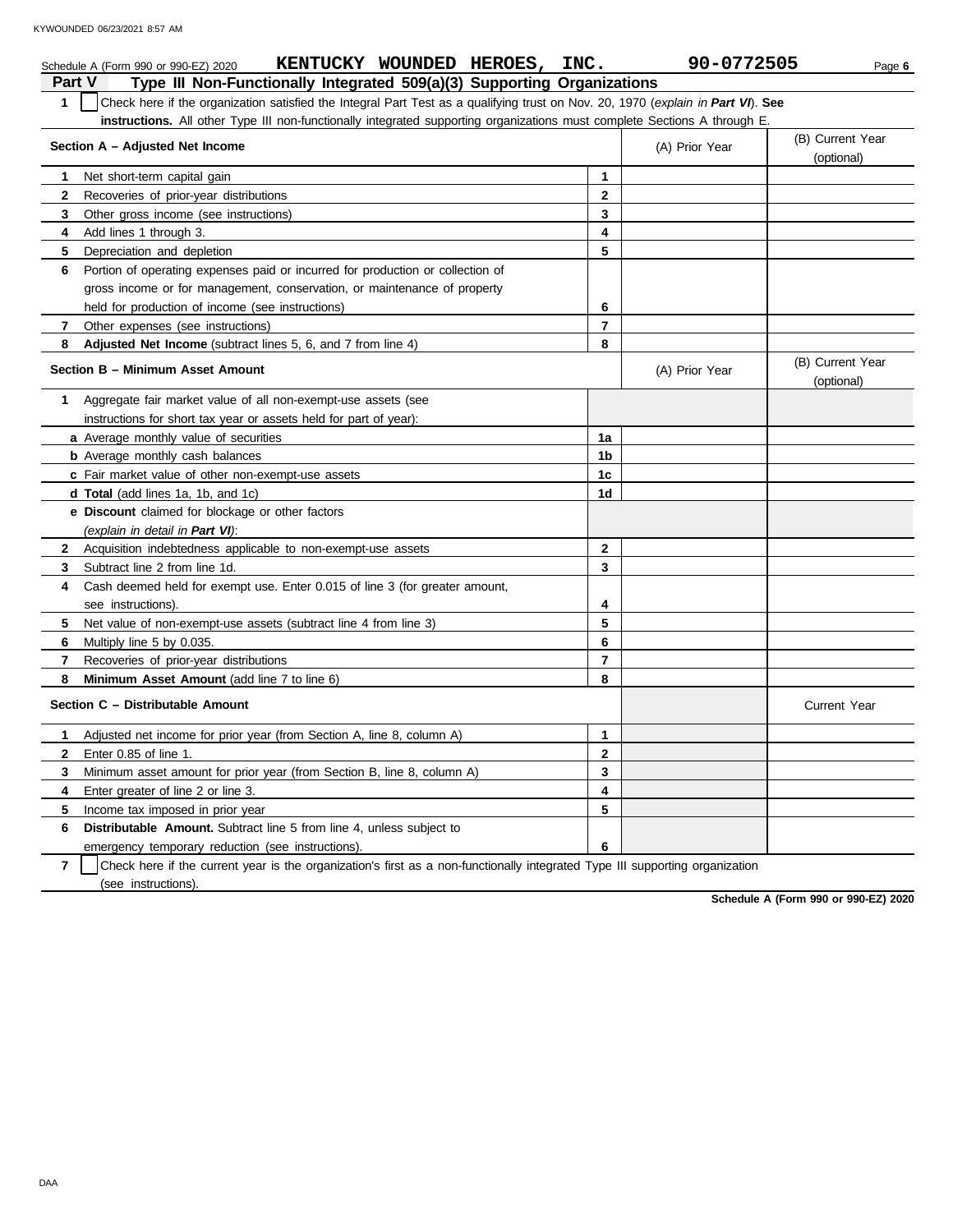|                | KENTUCKY WOUNDED HEROES, INC.<br>Schedule A (Form 990 or 990-EZ) 2020                                                            |                | 90-0772505     |                                | Page 6 |
|----------------|----------------------------------------------------------------------------------------------------------------------------------|----------------|----------------|--------------------------------|--------|
| <b>Part V</b>  | Type III Non-Functionally Integrated 509(a)(3) Supporting Organizations                                                          |                |                |                                |        |
| $\mathbf 1$    | Check here if the organization satisfied the Integral Part Test as a qualifying trust on Nov. 20, 1970 (explain in Part VI). See |                |                |                                |        |
|                | instructions. All other Type III non-functionally integrated supporting organizations must complete Sections A through E.        |                |                |                                |        |
|                | Section A - Adjusted Net Income                                                                                                  |                | (A) Prior Year | (B) Current Year<br>(optional) |        |
| 1.             | Net short-term capital gain                                                                                                      | $\mathbf 1$    |                |                                |        |
| $\mathbf{2}$   | Recoveries of prior-year distributions                                                                                           | $\overline{2}$ |                |                                |        |
| 3              | Other gross income (see instructions)                                                                                            | 3              |                |                                |        |
| 4              | Add lines 1 through 3.                                                                                                           | 4              |                |                                |        |
| 5.             | Depreciation and depletion                                                                                                       | 5              |                |                                |        |
| 6              | Portion of operating expenses paid or incurred for production or collection of                                                   |                |                |                                |        |
|                | gross income or for management, conservation, or maintenance of property                                                         |                |                |                                |        |
|                | held for production of income (see instructions)                                                                                 | 6              |                |                                |        |
| 7              | Other expenses (see instructions)                                                                                                | $\overline{7}$ |                |                                |        |
| 8              | Adjusted Net Income (subtract lines 5, 6, and 7 from line 4)                                                                     | 8              |                |                                |        |
|                | Section B - Minimum Asset Amount                                                                                                 |                | (A) Prior Year | (B) Current Year<br>(optional) |        |
| 1              | Aggregate fair market value of all non-exempt-use assets (see                                                                    |                |                |                                |        |
|                | instructions for short tax year or assets held for part of year):                                                                |                |                |                                |        |
|                | a Average monthly value of securities                                                                                            | 1a             |                |                                |        |
|                | <b>b</b> Average monthly cash balances                                                                                           | 1b             |                |                                |        |
|                | c Fair market value of other non-exempt-use assets                                                                               | 1c             |                |                                |        |
|                | d Total (add lines 1a, 1b, and 1c)                                                                                               | 1d             |                |                                |        |
|                | e Discount claimed for blockage or other factors                                                                                 |                |                |                                |        |
|                | (explain in detail in Part VI):                                                                                                  |                |                |                                |        |
| 2              | Acquisition indebtedness applicable to non-exempt-use assets                                                                     | $\mathbf{2}$   |                |                                |        |
| 3              | Subtract line 2 from line 1d.                                                                                                    | 3              |                |                                |        |
| 4              | Cash deemed held for exempt use. Enter 0.015 of line 3 (for greater amount,                                                      |                |                |                                |        |
|                | see instructions).                                                                                                               | 4              |                |                                |        |
| 5.             | Net value of non-exempt-use assets (subtract line 4 from line 3)                                                                 | 5              |                |                                |        |
| 6.             | Multiply line 5 by 0.035.                                                                                                        | 6              |                |                                |        |
| 7              | Recoveries of prior-year distributions                                                                                           | $\overline{7}$ |                |                                |        |
| 8              | Minimum Asset Amount (add line 7 to line 6)                                                                                      | 8              |                |                                |        |
|                | Section C - Distributable Amount                                                                                                 |                |                | <b>Current Year</b>            |        |
|                | Adjusted net income for prior year (from Section A, line 8, column A)                                                            | 1              |                |                                |        |
| 2              | Enter 0.85 of line 1.                                                                                                            | $\mathbf 2$    |                |                                |        |
| 3.             | Minimum asset amount for prior year (from Section B, line 8, column A)                                                           | 3              |                |                                |        |
| 4              | Enter greater of line 2 or line 3.                                                                                               | 4              |                |                                |        |
| 5              | Income tax imposed in prior year                                                                                                 | 5              |                |                                |        |
| 6              | Distributable Amount. Subtract line 5 from line 4, unless subject to                                                             |                |                |                                |        |
|                | emergency temporary reduction (see instructions).                                                                                | 6              |                |                                |        |
| $\overline{7}$ | Check here if the current year is the organization's first as a non-functionally integrated Type III supporting organization     |                |                |                                |        |

(see instructions).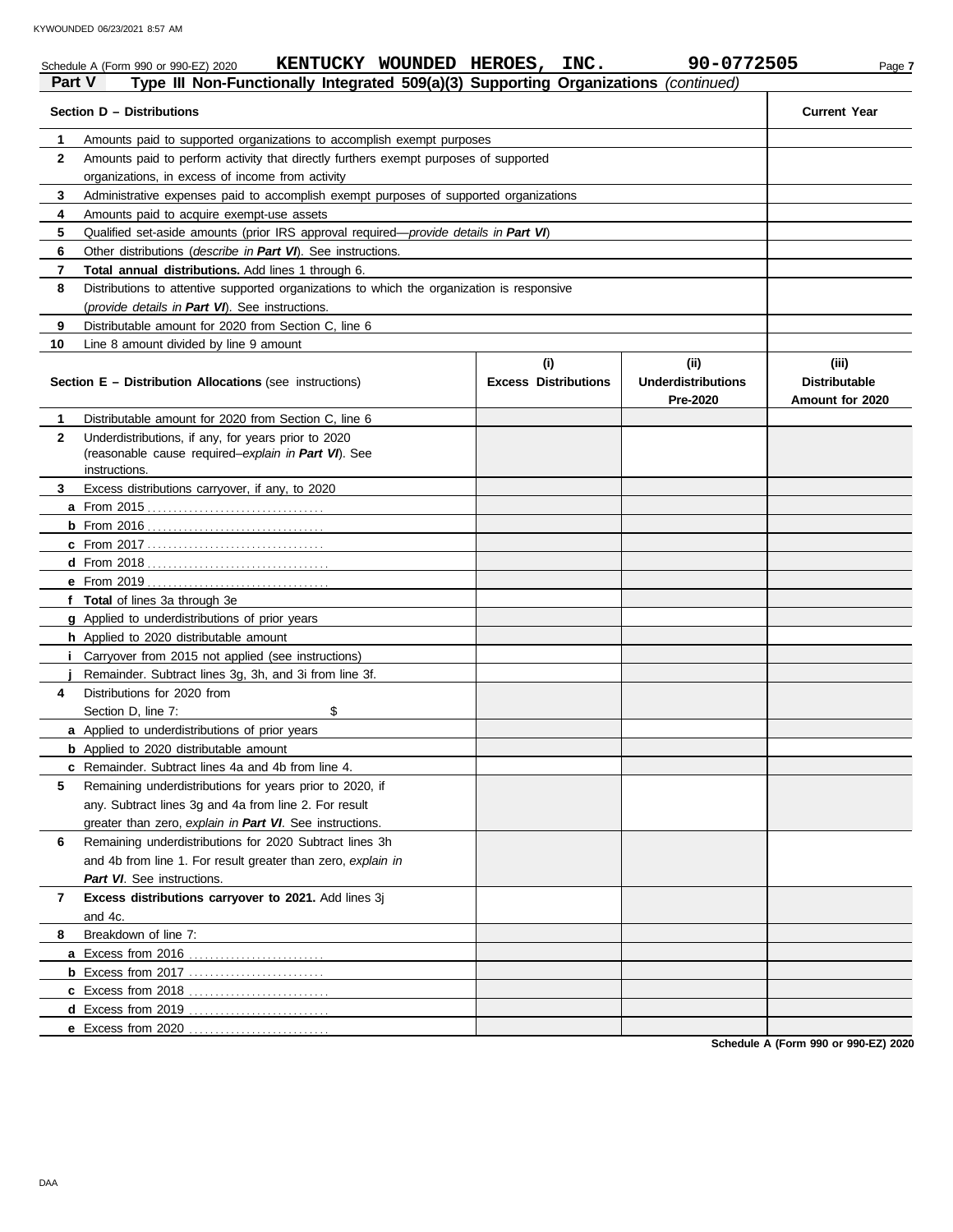|               | KENTUCKY WOUNDED HEROES,<br>Schedule A (Form 990 or 990-EZ) 2020                           | INC.                               | 90-0772505                                    | Page 7                                           |
|---------------|--------------------------------------------------------------------------------------------|------------------------------------|-----------------------------------------------|--------------------------------------------------|
| <b>Part V</b> | Type III Non-Functionally Integrated 509(a)(3) Supporting Organizations (continued)        |                                    |                                               |                                                  |
|               | Section D - Distributions                                                                  |                                    |                                               | <b>Current Year</b>                              |
| 1             | Amounts paid to supported organizations to accomplish exempt purposes                      |                                    |                                               |                                                  |
| $\mathbf{2}$  | Amounts paid to perform activity that directly furthers exempt purposes of supported       |                                    |                                               |                                                  |
|               | organizations, in excess of income from activity                                           |                                    |                                               |                                                  |
| 3             | Administrative expenses paid to accomplish exempt purposes of supported organizations      |                                    |                                               |                                                  |
| 4             | Amounts paid to acquire exempt-use assets                                                  |                                    |                                               |                                                  |
| 5             | Qualified set-aside amounts (prior IRS approval required—provide details in Part VI)       |                                    |                                               |                                                  |
| 6             | Other distributions (describe in Part VI). See instructions.                               |                                    |                                               |                                                  |
| 7             | Total annual distributions. Add lines 1 through 6.                                         |                                    |                                               |                                                  |
| 8             | Distributions to attentive supported organizations to which the organization is responsive |                                    |                                               |                                                  |
|               | (provide details in Part VI). See instructions.                                            |                                    |                                               |                                                  |
| 9             | Distributable amount for 2020 from Section C, line 6                                       |                                    |                                               |                                                  |
| 10            | Line 8 amount divided by line 9 amount                                                     |                                    |                                               |                                                  |
|               | <b>Section E - Distribution Allocations (see instructions)</b>                             | (i)<br><b>Excess Distributions</b> | (ii)<br><b>Underdistributions</b><br>Pre-2020 | (iii)<br><b>Distributable</b><br>Amount for 2020 |
| 1             | Distributable amount for 2020 from Section C, line 6                                       |                                    |                                               |                                                  |
| $\mathbf{2}$  | Underdistributions, if any, for years prior to 2020                                        |                                    |                                               |                                                  |
|               | (reasonable cause required-explain in Part VI). See                                        |                                    |                                               |                                                  |
| 3             | instructions.                                                                              |                                    |                                               |                                                  |
|               | Excess distributions carryover, if any, to 2020                                            |                                    |                                               |                                                  |
|               |                                                                                            |                                    |                                               |                                                  |
|               |                                                                                            |                                    |                                               |                                                  |
|               |                                                                                            |                                    |                                               |                                                  |
|               |                                                                                            |                                    |                                               |                                                  |
|               | f Total of lines 3a through 3e                                                             |                                    |                                               |                                                  |
|               | g Applied to underdistributions of prior years                                             |                                    |                                               |                                                  |
|               | h Applied to 2020 distributable amount                                                     |                                    |                                               |                                                  |
|               | <i>i</i> Carryover from 2015 not applied (see instructions)                                |                                    |                                               |                                                  |
|               | Remainder. Subtract lines 3q, 3h, and 3i from line 3f.                                     |                                    |                                               |                                                  |
| 4             | Distributions for 2020 from                                                                |                                    |                                               |                                                  |
|               | \$<br>Section D, line 7:                                                                   |                                    |                                               |                                                  |
|               | <b>a</b> Applied to underdistributions of prior years                                      |                                    |                                               |                                                  |
|               | <b>b</b> Applied to 2020 distributable amount                                              |                                    |                                               |                                                  |
|               | c Remainder. Subtract lines 4a and 4b from line 4.                                         |                                    |                                               |                                                  |
| 5             | Remaining underdistributions for years prior to 2020, if                                   |                                    |                                               |                                                  |
|               | any. Subtract lines 3g and 4a from line 2. For result                                      |                                    |                                               |                                                  |
|               | greater than zero, explain in Part VI. See instructions.                                   |                                    |                                               |                                                  |
| 6             | Remaining underdistributions for 2020 Subtract lines 3h                                    |                                    |                                               |                                                  |
|               | and 4b from line 1. For result greater than zero, explain in                               |                                    |                                               |                                                  |
|               | Part VI. See instructions.                                                                 |                                    |                                               |                                                  |
| 7             | Excess distributions carryover to 2021. Add lines 3j                                       |                                    |                                               |                                                  |
|               | and 4c.                                                                                    |                                    |                                               |                                                  |
| 8             | Breakdown of line 7:                                                                       |                                    |                                               |                                                  |
|               | a Excess from 2016                                                                         |                                    |                                               |                                                  |
|               | <b>b</b> Excess from 2017                                                                  |                                    |                                               |                                                  |
|               | c Excess from 2018                                                                         |                                    |                                               |                                                  |
|               | d Excess from 2019                                                                         |                                    |                                               |                                                  |
|               | e Excess from 2020                                                                         |                                    |                                               |                                                  |
|               |                                                                                            |                                    |                                               |                                                  |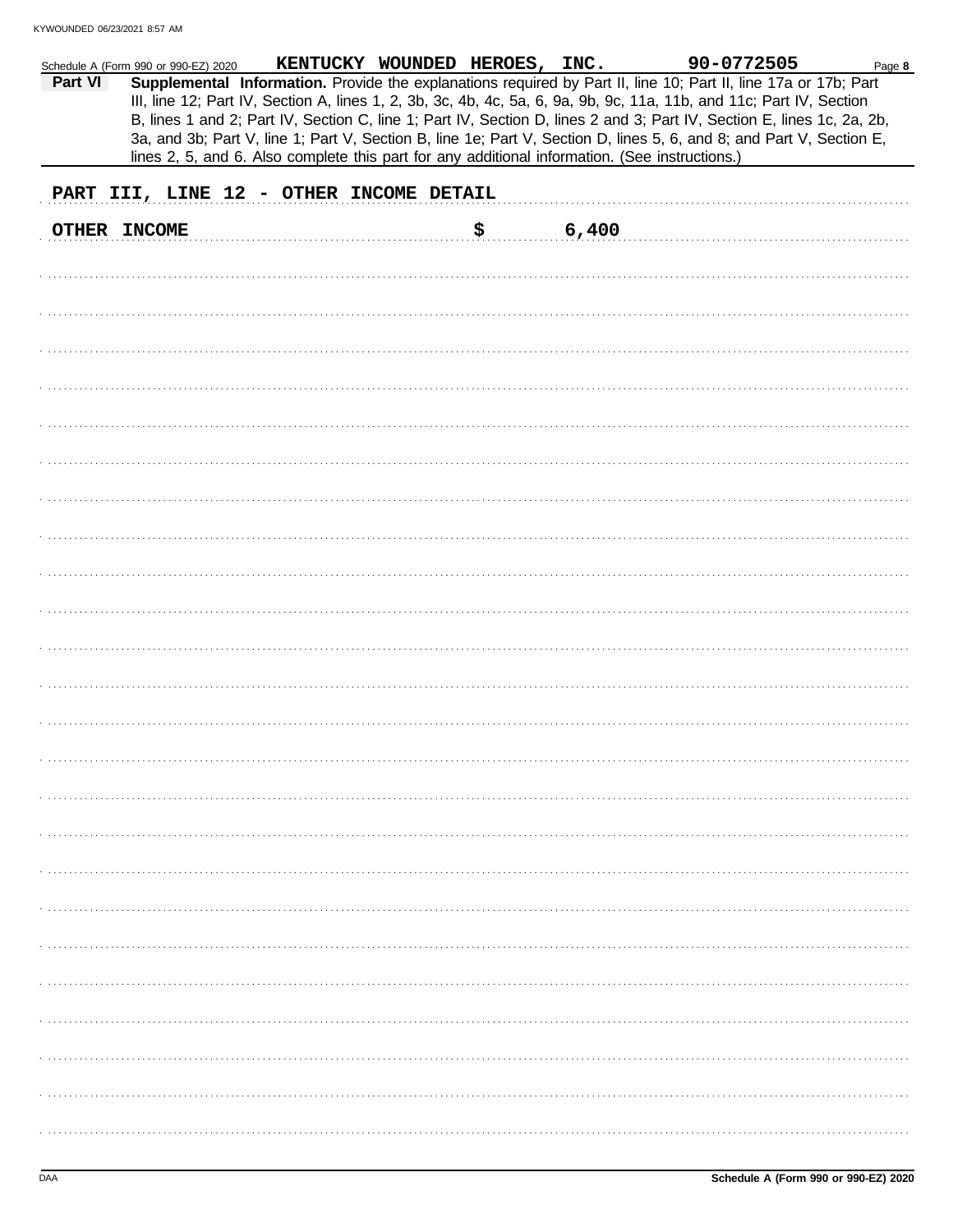|         | Schedule A (Form 990 or 990-EZ) 2020 | KENTUCKY WOUNDED HEROES, INC.                                                                  |    |       | 90-0772505                                                                                                                                                                                                                              | Page 8 |
|---------|--------------------------------------|------------------------------------------------------------------------------------------------|----|-------|-----------------------------------------------------------------------------------------------------------------------------------------------------------------------------------------------------------------------------------------|--------|
| Part VI |                                      |                                                                                                |    |       | Supplemental Information. Provide the explanations required by Part II, line 10; Part II, line 17a or 17b; Part<br>III, line 12; Part IV, Section A, lines 1, 2, 3b, 3c, 4b, 4c, 5a, 6, 9a, 9b, 9c, 11a, 11b, and 11c; Part IV, Section |        |
|         |                                      |                                                                                                |    |       | B, lines 1 and 2; Part IV, Section C, line 1; Part IV, Section D, lines 2 and 3; Part IV, Section E, lines 1c, 2a, 2b,                                                                                                                  |        |
|         |                                      |                                                                                                |    |       | 3a, and 3b; Part V, line 1; Part V, Section B, line 1e; Part V, Section D, lines 5, 6, and 8; and Part V, Section E,                                                                                                                    |        |
|         |                                      | lines 2, 5, and 6. Also complete this part for any additional information. (See instructions.) |    |       |                                                                                                                                                                                                                                         |        |
|         |                                      | PART III, LINE 12 - OTHER INCOME DETAIL                                                        |    |       |                                                                                                                                                                                                                                         |        |
|         | OTHER INCOME                         |                                                                                                | \$ | 6,400 |                                                                                                                                                                                                                                         |        |
|         |                                      |                                                                                                |    |       |                                                                                                                                                                                                                                         |        |
|         |                                      |                                                                                                |    |       |                                                                                                                                                                                                                                         |        |
|         |                                      |                                                                                                |    |       |                                                                                                                                                                                                                                         |        |
|         |                                      |                                                                                                |    |       |                                                                                                                                                                                                                                         |        |
|         |                                      |                                                                                                |    |       |                                                                                                                                                                                                                                         |        |
|         |                                      |                                                                                                |    |       |                                                                                                                                                                                                                                         |        |
|         |                                      |                                                                                                |    |       |                                                                                                                                                                                                                                         |        |
|         |                                      |                                                                                                |    |       |                                                                                                                                                                                                                                         |        |
|         |                                      |                                                                                                |    |       |                                                                                                                                                                                                                                         |        |
|         |                                      |                                                                                                |    |       |                                                                                                                                                                                                                                         |        |
|         |                                      |                                                                                                |    |       |                                                                                                                                                                                                                                         |        |
|         |                                      |                                                                                                |    |       |                                                                                                                                                                                                                                         |        |
|         |                                      |                                                                                                |    |       |                                                                                                                                                                                                                                         |        |
|         |                                      |                                                                                                |    |       |                                                                                                                                                                                                                                         |        |
|         |                                      |                                                                                                |    |       |                                                                                                                                                                                                                                         |        |
|         |                                      |                                                                                                |    |       |                                                                                                                                                                                                                                         |        |
|         |                                      |                                                                                                |    |       |                                                                                                                                                                                                                                         |        |
|         |                                      |                                                                                                |    |       |                                                                                                                                                                                                                                         |        |
|         |                                      |                                                                                                |    |       |                                                                                                                                                                                                                                         |        |
|         |                                      |                                                                                                |    |       |                                                                                                                                                                                                                                         |        |
|         |                                      |                                                                                                |    |       |                                                                                                                                                                                                                                         |        |
|         |                                      |                                                                                                |    |       |                                                                                                                                                                                                                                         |        |
|         |                                      |                                                                                                |    |       |                                                                                                                                                                                                                                         |        |
|         |                                      |                                                                                                |    |       |                                                                                                                                                                                                                                         |        |
|         |                                      |                                                                                                |    |       |                                                                                                                                                                                                                                         |        |
|         |                                      |                                                                                                |    |       |                                                                                                                                                                                                                                         |        |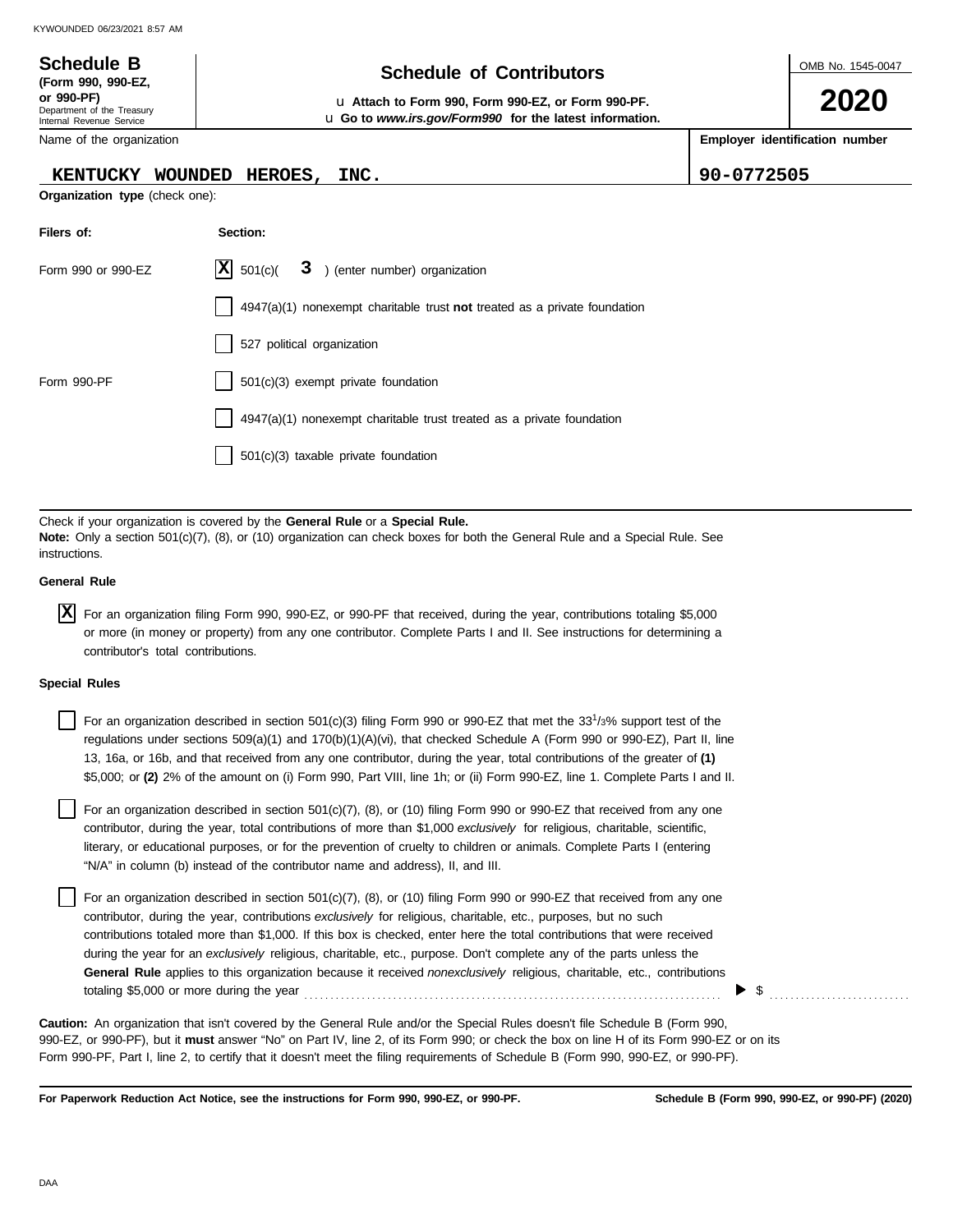Department of the Treasury Internal Revenue Service Name of the organization

**(Form 990, 990-EZ,**

## **Schedule of Contributors Schedule B**

OMB No. 1545-0047

**2020**

**or 990-PF)** u **Attach to Form 990, Form 990-EZ, or Form 990-PF.** u **Go to** *www.irs.gov/Form990* **for the latest information.**

**Employer identification number**

**KENTUCKY WOUNDED HEROES, INC. 100-0772505** 

|                      | Organization type (check one):           |                                                                                                                                                                                                                                                                                                                                                                                                                                                                                                                                                                                                                        |
|----------------------|------------------------------------------|------------------------------------------------------------------------------------------------------------------------------------------------------------------------------------------------------------------------------------------------------------------------------------------------------------------------------------------------------------------------------------------------------------------------------------------------------------------------------------------------------------------------------------------------------------------------------------------------------------------------|
| Filers of:           |                                          | Section:                                                                                                                                                                                                                                                                                                                                                                                                                                                                                                                                                                                                               |
|                      | Form 990 or 990-EZ                       | $ \mathbf{X} $ 501(c)(<br>3 ) (enter number) organization                                                                                                                                                                                                                                                                                                                                                                                                                                                                                                                                                              |
|                      |                                          | 4947(a)(1) nonexempt charitable trust not treated as a private foundation                                                                                                                                                                                                                                                                                                                                                                                                                                                                                                                                              |
|                      |                                          | 527 political organization                                                                                                                                                                                                                                                                                                                                                                                                                                                                                                                                                                                             |
| Form 990-PF          |                                          | 501(c)(3) exempt private foundation                                                                                                                                                                                                                                                                                                                                                                                                                                                                                                                                                                                    |
|                      |                                          | 4947(a)(1) nonexempt charitable trust treated as a private foundation                                                                                                                                                                                                                                                                                                                                                                                                                                                                                                                                                  |
|                      |                                          | 501(c)(3) taxable private foundation                                                                                                                                                                                                                                                                                                                                                                                                                                                                                                                                                                                   |
| instructions.        |                                          | Check if your organization is covered by the General Rule or a Special Rule.<br>Note: Only a section 501(c)(7), (8), or (10) organization can check boxes for both the General Rule and a Special Rule. See                                                                                                                                                                                                                                                                                                                                                                                                            |
| <b>General Rule</b>  |                                          |                                                                                                                                                                                                                                                                                                                                                                                                                                                                                                                                                                                                                        |
| ΙX                   | contributor's total contributions.       | For an organization filing Form 990, 990-EZ, or 990-PF that received, during the year, contributions totaling \$5,000<br>or more (in money or property) from any one contributor. Complete Parts I and II. See instructions for determining a                                                                                                                                                                                                                                                                                                                                                                          |
| <b>Special Rules</b> |                                          |                                                                                                                                                                                                                                                                                                                                                                                                                                                                                                                                                                                                                        |
|                      |                                          | For an organization described in section 501(c)(3) filing Form 990 or 990-EZ that met the 33 <sup>1</sup> /3% support test of the<br>regulations under sections 509(a)(1) and 170(b)(1)(A)(vi), that checked Schedule A (Form 990 or 990-EZ), Part II, line<br>13, 16a, or 16b, and that received from any one contributor, during the year, total contributions of the greater of (1)<br>\$5,000; or (2) 2% of the amount on (i) Form 990, Part VIII, line 1h; or (ii) Form 990-EZ, line 1. Complete Parts I and II.                                                                                                  |
|                      |                                          | For an organization described in section 501(c)(7), (8), or (10) filing Form 990 or 990-EZ that received from any one<br>contributor, during the year, total contributions of more than \$1,000 exclusively for religious, charitable, scientific,<br>literary, or educational purposes, or for the prevention of cruelty to children or animals. Complete Parts I (entering<br>"N/A" in column (b) instead of the contributor name and address), II, and III.                                                                                                                                                         |
|                      | totaling \$5,000 or more during the year | For an organization described in section $501(c)(7)$ , (8), or (10) filing Form 990 or 990-EZ that received from any one<br>contributor, during the year, contributions exclusively for religious, charitable, etc., purposes, but no such<br>contributions totaled more than \$1,000. If this box is checked, enter here the total contributions that were received<br>during the year for an exclusively religious, charitable, etc., purpose. Don't complete any of the parts unless the<br>General Rule applies to this organization because it received nonexclusively religious, charitable, etc., contributions |
|                      |                                          | Caution: An organization that isn't covered by the General Rule and/or the Special Rules doesn't file Schedule B (Form 990,<br>990-EZ, or 990-PF), but it must answer "No" on Part IV, line 2, of its Form 990; or check the box on line H of its Form 990-EZ or on its<br>Form 990-PF, Part I, line 2, to certify that it doesn't meet the filing requirements of Schedule B (Form 990, 990-EZ, or 990-PF).                                                                                                                                                                                                           |

**For Paperwork Reduction Act Notice, see the instructions for Form 990, 990-EZ, or 990-PF.**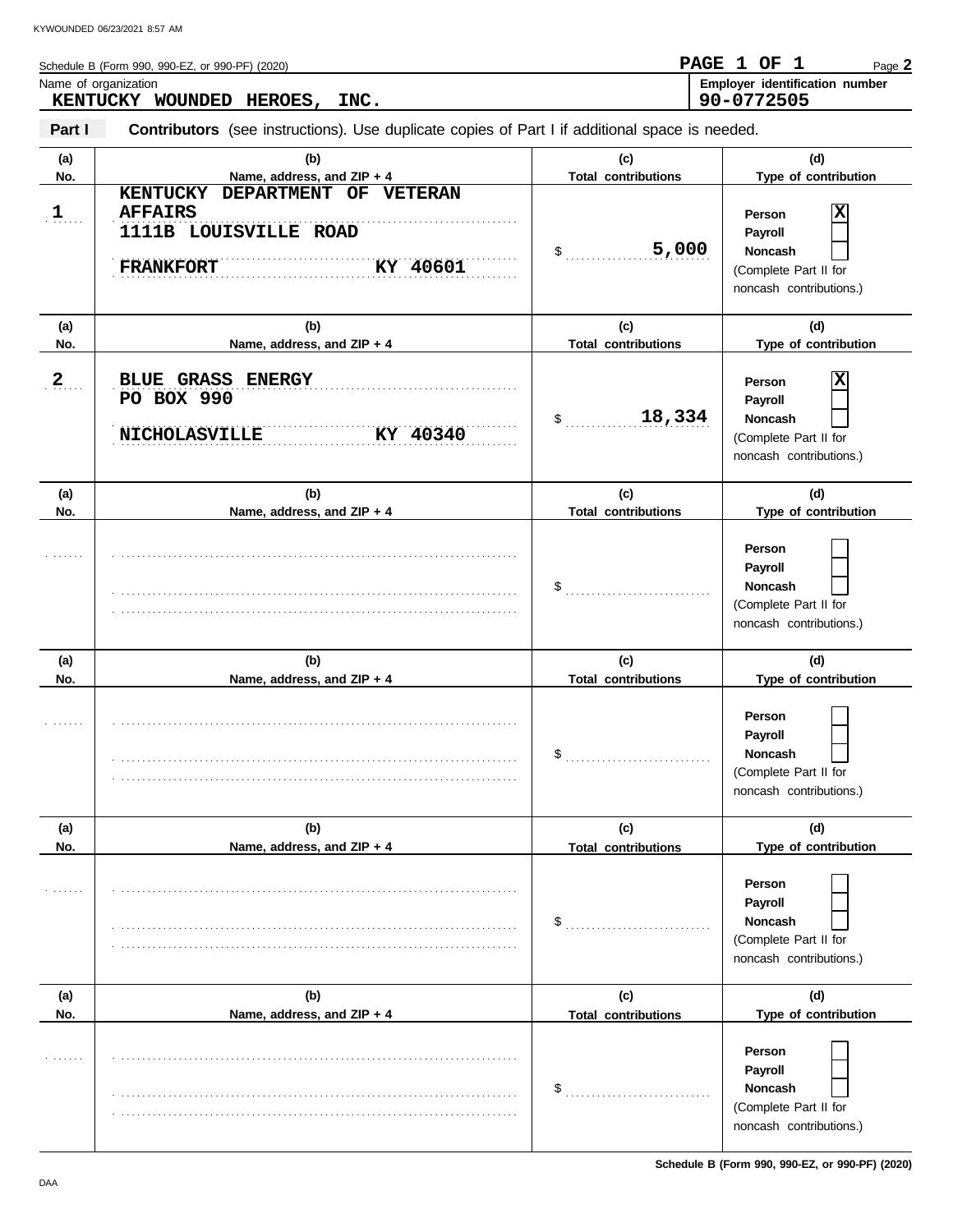|              | Schedule B (Form 990, 990-EZ, or 990-PF) (2020)<br>Name of organization<br>KENTUCKY WOUNDED HEROES,<br>INC.         |                                   | PAGE 1 OF 1<br>Page 2<br>Employer identification number<br>90-0772505                                           |
|--------------|---------------------------------------------------------------------------------------------------------------------|-----------------------------------|-----------------------------------------------------------------------------------------------------------------|
| Part I       | Contributors (see instructions). Use duplicate copies of Part I if additional space is needed.                      |                                   |                                                                                                                 |
| (a)<br>No.   | (b)<br>Name, address, and ZIP + 4                                                                                   | (c)<br><b>Total contributions</b> | (d)<br>Type of contribution                                                                                     |
| 1            | DEPARTMENT OF VETERAN<br><b>KENTUCKY</b><br><b>AFFAIRS</b><br>1111B LOUISVILLE ROAD<br>KY 40601<br><b>FRANKFORT</b> | 5,000<br>\$                       | х<br>Person<br>Payroll<br><b>Noncash</b><br>(Complete Part II for<br>noncash contributions.)                    |
| (a)<br>No.   | (b)<br>Name, address, and ZIP + 4                                                                                   | (c)<br><b>Total contributions</b> | (d)<br>Type of contribution                                                                                     |
| $\mathbf{2}$ | <b>BLUE GRASS ENERGY</b><br>PO BOX 990<br>KY 40340<br><b>NICHOLASVILLE</b>                                          | 18,334<br>\$                      | Person<br>Payroll<br><b>Noncash</b><br>(Complete Part II for<br>noncash contributions.)                         |
| (a)<br>No.   | (b)<br>Name, address, and ZIP + 4                                                                                   | (c)<br><b>Total contributions</b> | (d)<br>Type of contribution                                                                                     |
|              |                                                                                                                     | \$                                | Person<br>Payroll<br>Noncash<br>(Complete Part II for<br>noncash contributions.)                                |
| (a)          | (b)                                                                                                                 | (c)                               | (d)                                                                                                             |
| No.          | Name, address, and ZIP + 4                                                                                          | <b>Total contributions</b><br>\$  | Type of contribution<br>Person<br>Payroll<br><b>Noncash</b><br>(Complete Part II for<br>noncash contributions.) |
| (a)<br>No.   | (b)<br>Name, address, and ZIP + 4                                                                                   | (c)<br><b>Total contributions</b> | (d)<br>Type of contribution                                                                                     |
|              |                                                                                                                     | \$                                | Person<br>Payroll<br><b>Noncash</b><br>(Complete Part II for<br>noncash contributions.)                         |

|     |                              |                            | noncash contributions.)                                                          |
|-----|------------------------------|----------------------------|----------------------------------------------------------------------------------|
| (a) | (b)                          |                            |                                                                                  |
| No. | Name, address, and $ZIP + 4$ | <b>Total contributions</b> | Type of contribution                                                             |
| .   |                              |                            | Person<br>Payroll<br>Noncash<br>(Complete Part II for<br>noncash contributions.) |

**Schedule B (Form 990, 990-EZ, or 990-PF) (2020)**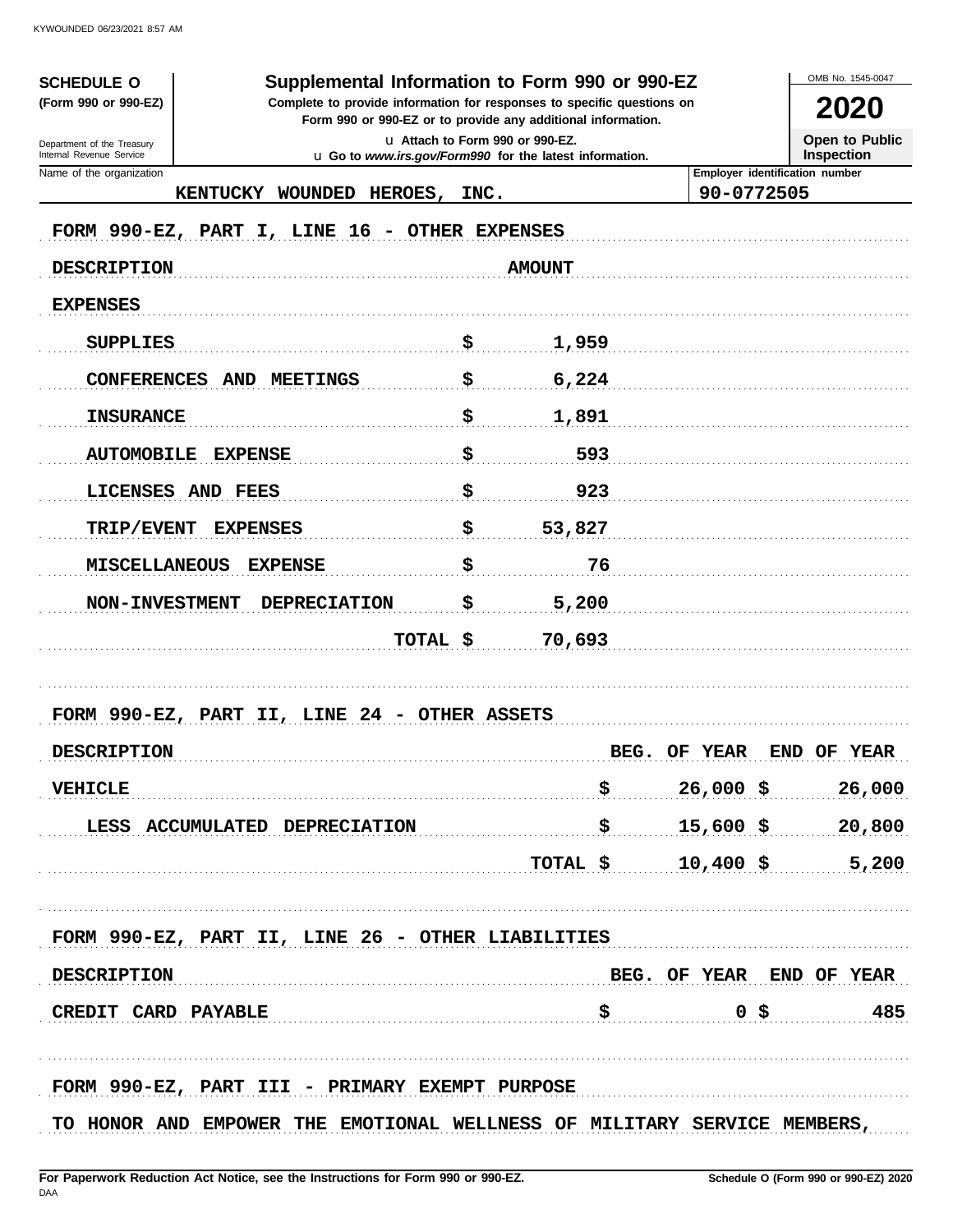| Supplemental Information to Form 990 or 990-EZ<br><b>SCHEDULE O</b>                                                                                  |                                                                                                                                        |                                   |              |                                | OMB No. 1545-0047<br>2020 |  |
|------------------------------------------------------------------------------------------------------------------------------------------------------|----------------------------------------------------------------------------------------------------------------------------------------|-----------------------------------|--------------|--------------------------------|---------------------------|--|
| (Form 990 or 990-EZ)                                                                                                                                 | Complete to provide information for responses to specific questions on<br>Form 990 or 990-EZ or to provide any additional information. |                                   |              |                                |                           |  |
| u Attach to Form 990 or 990-EZ.<br>Department of the Treasury<br>Internal Revenue Service<br>u Go to www.irs.gov/Form990 for the latest information. |                                                                                                                                        | Open to Public<br>Inspection      |              |                                |                           |  |
| Name of the organization                                                                                                                             |                                                                                                                                        |                                   |              | Employer identification number |                           |  |
| <b>KENTUCKY</b><br><b>WOUNDED</b><br><b>HEROES,</b>                                                                                                  | INC.                                                                                                                                   |                                   |              | 90-0772505                     |                           |  |
| FORM 990-EZ, PART I, LINE 16 - OTHER EXPENSES                                                                                                        |                                                                                                                                        |                                   |              |                                |                           |  |
| <b>DESCRIPTION</b>                                                                                                                                   |                                                                                                                                        | <b>AMOUNT</b>                     |              |                                |                           |  |
| <b>EXPENSES</b>                                                                                                                                      |                                                                                                                                        |                                   |              |                                |                           |  |
| <b>SUPPLIES</b>                                                                                                                                      | \$                                                                                                                                     | 1,959                             |              |                                |                           |  |
| <b>CONFERENCES</b><br>AND MEETINGS                                                                                                                   | \$                                                                                                                                     | 6,224                             |              |                                |                           |  |
| <b>INSURANCE</b>                                                                                                                                     | \$                                                                                                                                     | 1,891                             |              |                                |                           |  |
| <b>AUTOMOBILE</b><br><b>EXPENSE</b>                                                                                                                  | \$                                                                                                                                     | 593                               |              |                                |                           |  |
| LICENSES AND FEES                                                                                                                                    | \$                                                                                                                                     | 923                               |              |                                |                           |  |
| TRIP/EVENT<br><b>EXPENSES</b>                                                                                                                        | \$                                                                                                                                     | 53,827                            |              |                                |                           |  |
| <b>MISCELLANEOUS</b><br><b>EXPENSE</b>                                                                                                               | \$                                                                                                                                     | 76                                |              |                                |                           |  |
| <b>NON-INVESTMENT</b><br><b>DEPRECIATION</b>                                                                                                         | \$                                                                                                                                     | 5,200                             |              |                                |                           |  |
|                                                                                                                                                      | TOTAL \$                                                                                                                               | 70,693                            |              |                                |                           |  |
| FORM 990-EZ, PART II, LINE 24 - OTHER ASSETS                                                                                                         |                                                                                                                                        |                                   |              |                                |                           |  |
| <b>DESCRIPTION</b>                                                                                                                                   |                                                                                                                                        |                                   | BEG. OF YEAR |                                | END OF YEAR               |  |
| <b>VEHICLE</b>                                                                                                                                       |                                                                                                                                        | $\frac{1}{5}$ 26,000 \$ 26,000    |              |                                |                           |  |
| LESS ACCUMULATED DEPRECIATION                                                                                                                        |                                                                                                                                        | $\frac{15,600 \text{ s}}{20,800}$ |              |                                |                           |  |
|                                                                                                                                                      |                                                                                                                                        | TOTAL \$ 10,400 \$ 5,200          |              |                                |                           |  |
| FORM 990-EZ, PART II, LINE 26 - OTHER LIABILITIES                                                                                                    |                                                                                                                                        |                                   |              |                                |                           |  |
| <b>DESCRIPTION</b>                                                                                                                                   |                                                                                                                                        | BEG. OF YEAR END OF YEAR          |              |                                |                           |  |
| CREDIT CARD PAYABLE                                                                                                                                  |                                                                                                                                        |                                   |              |                                | $0 \,$ \$ 485             |  |
| FORM 990-EZ, PART III - PRIMARY EXEMPT PURPOSE                                                                                                       |                                                                                                                                        |                                   |              |                                |                           |  |
| TO HONOR AND EMPOWER THE EMOTIONAL WELLNESS OF MILITARY SERVICE MEMBERS,                                                                             |                                                                                                                                        |                                   |              |                                |                           |  |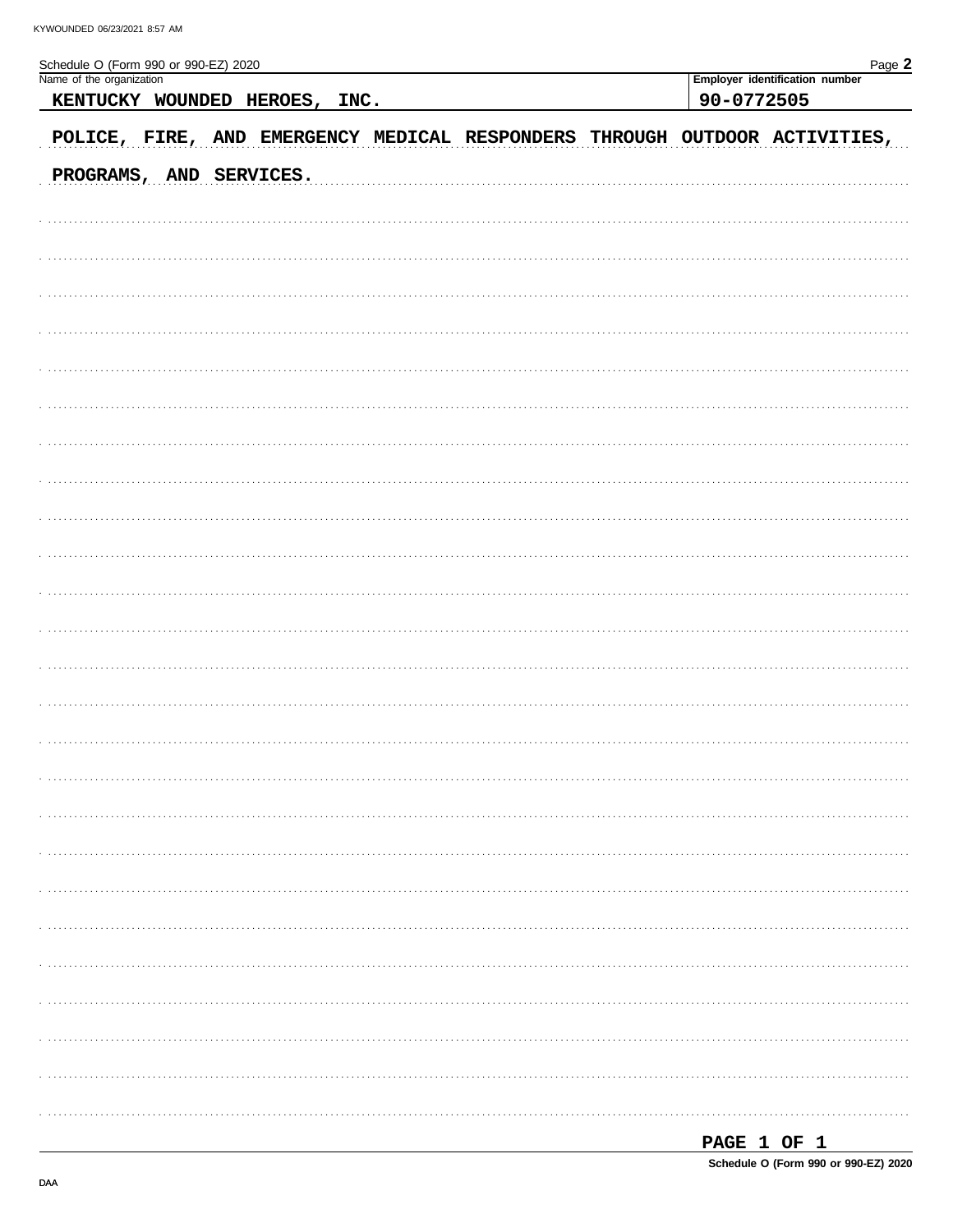|                         | Schedule O (Form 990 or 990-EZ) 2020<br>Name of the organization |  |                               |  | Page 2<br>Employer identification number |            |                                                                            |  |
|-------------------------|------------------------------------------------------------------|--|-------------------------------|--|------------------------------------------|------------|----------------------------------------------------------------------------|--|
|                         |                                                                  |  |                               |  |                                          |            |                                                                            |  |
|                         |                                                                  |  | KENTUCKY WOUNDED HEROES, INC. |  |                                          | 90-0772505 |                                                                            |  |
|                         |                                                                  |  |                               |  |                                          |            | POLICE, FIRE, AND EMERGENCY MEDICAL RESPONDERS THROUGH OUTDOOR ACTIVITIES, |  |
| PROGRAMS, AND SERVICES. |                                                                  |  |                               |  |                                          |            |                                                                            |  |
|                         |                                                                  |  |                               |  |                                          |            |                                                                            |  |
|                         |                                                                  |  |                               |  |                                          |            |                                                                            |  |
|                         |                                                                  |  |                               |  |                                          |            |                                                                            |  |
|                         |                                                                  |  |                               |  |                                          |            |                                                                            |  |
|                         |                                                                  |  |                               |  |                                          |            |                                                                            |  |
|                         |                                                                  |  |                               |  |                                          |            |                                                                            |  |
|                         |                                                                  |  |                               |  |                                          |            |                                                                            |  |
|                         |                                                                  |  |                               |  |                                          |            |                                                                            |  |
|                         |                                                                  |  |                               |  |                                          |            |                                                                            |  |
|                         |                                                                  |  |                               |  |                                          |            |                                                                            |  |
|                         |                                                                  |  |                               |  |                                          |            |                                                                            |  |
|                         |                                                                  |  |                               |  |                                          |            |                                                                            |  |
|                         |                                                                  |  |                               |  |                                          |            |                                                                            |  |
|                         |                                                                  |  |                               |  |                                          |            |                                                                            |  |
|                         |                                                                  |  |                               |  |                                          |            |                                                                            |  |
|                         |                                                                  |  |                               |  |                                          |            |                                                                            |  |
|                         |                                                                  |  |                               |  |                                          |            |                                                                            |  |
|                         |                                                                  |  |                               |  |                                          |            |                                                                            |  |
|                         |                                                                  |  |                               |  |                                          |            |                                                                            |  |
|                         |                                                                  |  |                               |  |                                          |            |                                                                            |  |
|                         |                                                                  |  |                               |  |                                          |            |                                                                            |  |
|                         |                                                                  |  |                               |  |                                          |            |                                                                            |  |
|                         |                                                                  |  |                               |  |                                          |            |                                                                            |  |
|                         |                                                                  |  |                               |  |                                          |            |                                                                            |  |

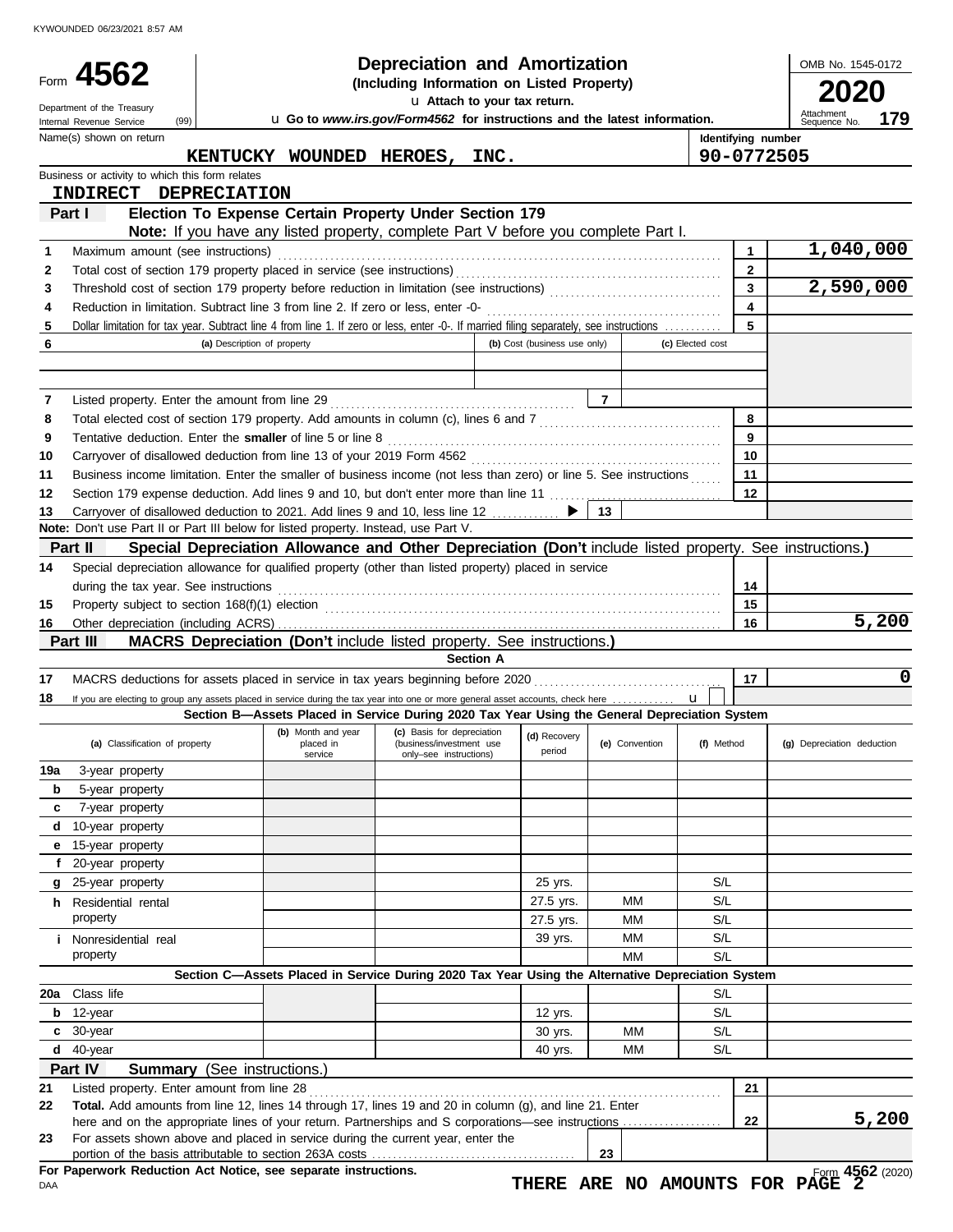| Form 4562                                                      | OMB No. 1545-0172                                                                                                                                                                                                                   |                                                                            |                              |                |                  |                                   |
|----------------------------------------------------------------|-------------------------------------------------------------------------------------------------------------------------------------------------------------------------------------------------------------------------------------|----------------------------------------------------------------------------|------------------------------|----------------|------------------|-----------------------------------|
|                                                                |                                                                                                                                                                                                                                     | (Including Information on Listed Property)<br>u Attach to your tax return. |                              |                |                  | 2020                              |
| Department of the Treasury<br>(99)<br>Internal Revenue Service |                                                                                                                                                                                                                                     | u Go to www.irs.gov/Form4562 for instructions and the latest information.  |                              |                |                  | Attachment<br>179<br>Sequence No. |
| Name(s) shown on return                                        |                                                                                                                                                                                                                                     |                                                                            |                              |                |                  | Identifying number                |
|                                                                | KENTUCKY WOUNDED HEROES, INC.                                                                                                                                                                                                       |                                                                            |                              |                |                  | 90-0772505                        |
| Business or activity to which this form relates                |                                                                                                                                                                                                                                     |                                                                            |                              |                |                  |                                   |
| INDIRECT DEPRECIATION                                          |                                                                                                                                                                                                                                     |                                                                            |                              |                |                  |                                   |
| Part I                                                         | Election To Expense Certain Property Under Section 179                                                                                                                                                                              |                                                                            |                              |                |                  |                                   |
| Maximum amount (see instructions)<br>1                         | <b>Note:</b> If you have any listed property, complete Part V before you complete Part I.                                                                                                                                           |                                                                            |                              |                |                  | 1,040,000<br>$\mathbf{1}$         |
| 2                                                              |                                                                                                                                                                                                                                     |                                                                            |                              |                |                  | $\mathbf{2}$                      |
| 3                                                              |                                                                                                                                                                                                                                     |                                                                            |                              |                |                  | 2,590,000<br>$\overline{3}$       |
| 4                                                              |                                                                                                                                                                                                                                     |                                                                            |                              |                |                  | $\overline{\mathbf{4}}$           |
| 5                                                              | Dollar limitation for tax year. Subtract line 4 from line 1. If zero or less, enter -0-. If married filing separately, see instructions                                                                                             |                                                                            |                              |                |                  | 5                                 |
| 6                                                              | (a) Description of property                                                                                                                                                                                                         |                                                                            | (b) Cost (business use only) |                | (c) Elected cost |                                   |
|                                                                |                                                                                                                                                                                                                                     |                                                                            |                              |                |                  |                                   |
|                                                                |                                                                                                                                                                                                                                     |                                                                            |                              |                |                  |                                   |
| 7                                                              |                                                                                                                                                                                                                                     |                                                                            |                              |                |                  |                                   |
| 8                                                              |                                                                                                                                                                                                                                     |                                                                            |                              |                |                  | 8                                 |
| 9<br>10                                                        |                                                                                                                                                                                                                                     |                                                                            |                              |                |                  | 9<br>10                           |
| 11                                                             | Business income limitation. Enter the smaller of business income (not less than zero) or line 5. See instructions                                                                                                                   |                                                                            |                              |                |                  | 11                                |
| 12                                                             | Section 179 expense deduction. Add lines 9 and 10, but don't enter more than line 11  [11] expense deduction. Add lines 9 and 10, but don't enter more than line 11                                                                 |                                                                            |                              |                |                  | 12                                |
| 13                                                             | Carryover of disallowed deduction to 2021. Add lines 9 and 10, less line 12 $\blacktriangleright$   13                                                                                                                              |                                                                            |                              |                |                  |                                   |
|                                                                | Note: Don't use Part II or Part III below for listed property. Instead, use Part V.                                                                                                                                                 |                                                                            |                              |                |                  |                                   |
| Part II                                                        | Special Depreciation Allowance and Other Depreciation (Don't include listed property. See instructions.)                                                                                                                            |                                                                            |                              |                |                  |                                   |
| 14                                                             | Special depreciation allowance for qualified property (other than listed property) placed in service                                                                                                                                |                                                                            |                              |                |                  |                                   |
| during the tax year. See instructions                          |                                                                                                                                                                                                                                     |                                                                            |                              |                |                  | 14                                |
| 15                                                             | Property subject to section 168(f)(1) election <i>[1]</i> [1] contained a section of the section of the section of the section of the section of the section of the section of the section of the section of the section of the sec |                                                                            |                              |                |                  | 15                                |
| 16                                                             |                                                                                                                                                                                                                                     |                                                                            |                              |                |                  | 5,200<br>16                       |
| Part III                                                       | <b>MACRS Depreciation (Don't include listed property. See instructions.)</b>                                                                                                                                                        |                                                                            |                              |                |                  |                                   |
|                                                                |                                                                                                                                                                                                                                     | <b>Section A</b>                                                           |                              |                |                  |                                   |
| 17                                                             |                                                                                                                                                                                                                                     |                                                                            |                              |                |                  | 0<br>17                           |
| 18                                                             | If you are electing to group any assets placed in service during the tax year into one or more general asset accounts, check here<br>Section B-Assets Placed in Service During 2020 Tax Year Using the General Depreciation System  |                                                                            |                              |                | $\mathbf{u}$     |                                   |
|                                                                |                                                                                                                                                                                                                                     | (b) Month and year (c) Basis for depreciation (d) Recovery (c) Convention  |                              |                |                  |                                   |
| (a) Classification of property                                 | placed in<br>service                                                                                                                                                                                                                | (business/investment use<br>only-see instructions)                         | period                       | (e) Convention | (f) Method       | (g) Depreciation deduction        |
| 19a<br>3-year property                                         |                                                                                                                                                                                                                                     |                                                                            |                              |                |                  |                                   |
| b<br>5-year property                                           |                                                                                                                                                                                                                                     |                                                                            |                              |                |                  |                                   |
| 7-year property<br>c                                           |                                                                                                                                                                                                                                     |                                                                            |                              |                |                  |                                   |
| 10-year property<br>d                                          |                                                                                                                                                                                                                                     |                                                                            |                              |                |                  |                                   |
| 15-year property<br>е                                          |                                                                                                                                                                                                                                     |                                                                            |                              |                |                  |                                   |
| 20-year property<br>f.                                         |                                                                                                                                                                                                                                     |                                                                            |                              |                |                  |                                   |
| 25-year property<br>g                                          |                                                                                                                                                                                                                                     |                                                                            | 25 yrs.                      |                | S/L              |                                   |
| Residential rental<br>h.<br>property                           |                                                                                                                                                                                                                                     |                                                                            | 27.5 yrs.                    | ΜМ             | S/L              |                                   |
|                                                                |                                                                                                                                                                                                                                     |                                                                            | 27.5 yrs.                    | МM             | S/L              |                                   |
|                                                                |                                                                                                                                                                                                                                     |                                                                            | 39 yrs.                      | МM             | S/L              |                                   |
| <i>i</i> Nonresidential real                                   |                                                                                                                                                                                                                                     |                                                                            |                              | МM             | S/L              |                                   |
| property                                                       |                                                                                                                                                                                                                                     |                                                                            |                              |                |                  |                                   |
|                                                                | Section C-Assets Placed in Service During 2020 Tax Year Using the Alternative Depreciation System                                                                                                                                   |                                                                            |                              |                |                  |                                   |
| Class life                                                     |                                                                                                                                                                                                                                     |                                                                            |                              |                | S/L              |                                   |
| 12-year<br>b                                                   |                                                                                                                                                                                                                                     |                                                                            | 12 yrs.                      |                | S/L              |                                   |
| 30-year<br>C                                                   |                                                                                                                                                                                                                                     |                                                                            | 30 yrs.                      | МM<br>МM       | S/L<br>S/L       |                                   |
| $d$ 40-year<br>Part IV                                         |                                                                                                                                                                                                                                     |                                                                            | 40 yrs.                      |                |                  |                                   |
| Listed property. Enter amount from line 28                     | <b>Summary</b> (See instructions.)                                                                                                                                                                                                  |                                                                            |                              |                |                  | 21                                |
|                                                                | Total. Add amounts from line 12, lines 14 through 17, lines 19 and 20 in column (g), and line 21. Enter                                                                                                                             |                                                                            |                              |                |                  |                                   |
| 20a<br>21<br>22                                                | here and on the appropriate lines of your return. Partnerships and S corporations—see instructions                                                                                                                                  |                                                                            |                              |                |                  | 5,200<br>22                       |
| 23                                                             | For assets shown above and placed in service during the current year, enter the                                                                                                                                                     |                                                                            |                              | 23             |                  |                                   |